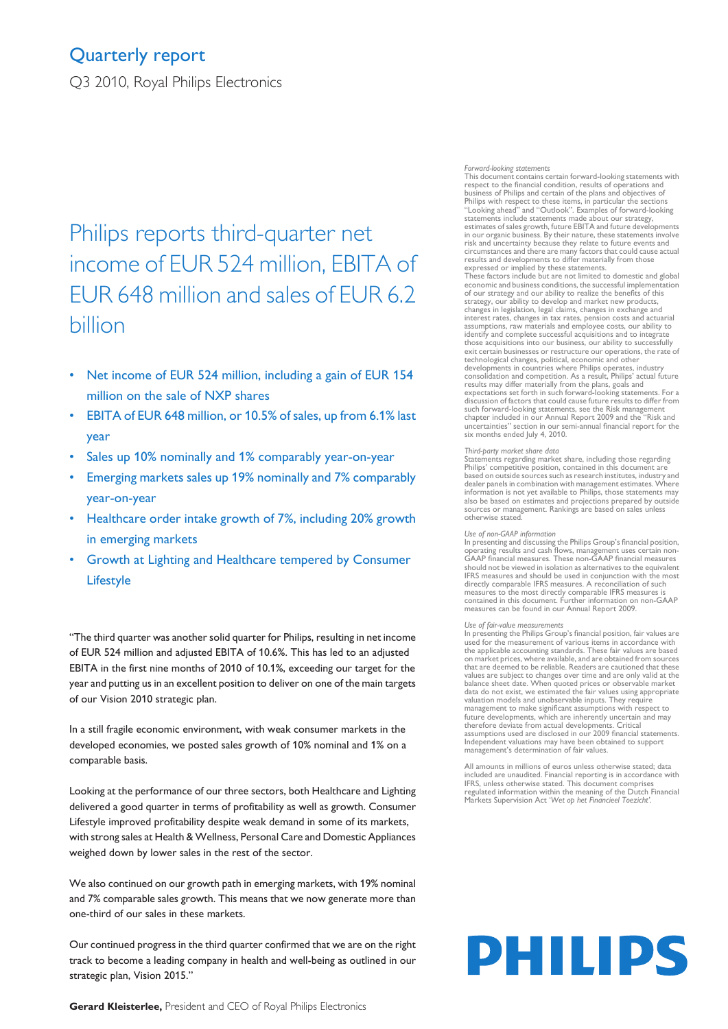### Quarterly report

Q3 2010, Royal Philips Electronics

## Philips reports third-quarter net income of EUR 524 million, EBITA of EUR 648 million and sales of EUR 6.2 billion

- Net income of EUR 524 million, including a gain of EUR 154 million on the sale of NXP shares
- EBITA of EUR 648 million, or 10.5% of sales, up from 6.1% last year
- Sales up 10% nominally and 1% comparably year-on-year
- Emerging markets sales up 19% nominally and 7% comparably year-on-year
- Healthcare order intake growth of 7%, including 20% growth in emerging markets
- Growth at Lighting and Healthcare tempered by Consumer Lifestyle

"The third quarter was another solid quarter for Philips, resulting in net income of EUR 524 million and adjusted EBITA of 10.6%. This has led to an adjusted EBITA in the first nine months of 2010 of 10.1%, exceeding our target for the year and putting us in an excellent position to deliver on one of the main targets of our Vision 2010 strategic plan.

In a still fragile economic environment, with weak consumer markets in the developed economies, we posted sales growth of 10% nominal and 1% on a comparable basis.

Looking at the performance of our three sectors, both Healthcare and Lighting delivered a good quarter in terms of profitability as well as growth. Consumer Lifestyle improved profitability despite weak demand in some of its markets, with strong sales at Health & Wellness, Personal Care and Domestic Appliances weighed down by lower sales in the rest of the sector.

We also continued on our growth path in emerging markets, with 19% nominal and 7% comparable sales growth. This means that we now generate more than one-third of our sales in these markets.

Our continued progress in the third quarter confirmed that we are on the right track to become a leading company in health and well-being as outlined in our strategic plan, Vision 2015."

### *Forward-looking statements*

This document contains certain forward-looking statements with respect to the financial condition, results of operations and business of Philips and certain of the plans and objectives of Philips with respect to these items, in particular the sections "Looking ahead" and "Outlook". Examples of forward-looking statements include statements made about our strategy, estimates of sales growth, future EBITA and future developments in our organic business. By their nature, these statements involve risk and uncertainty because they relate to future events and circumstances and there are many factors that could cause actual results and developments to differ materially from those expressed or implied by these statements. These factors include but are not limited to domestic and global economic and business conditions, the successful implementation of our strategy and our ability to realize the benefits of this strategy, our ability to develop and market new products, changes in legislation, legal claims, changes in exchange and interest rates, changes in tax rates, pension costs and actuarial assumptions, raw materials and employee costs, our ability to identify and complete successful acquisitions and to integrate those acquisitions into our business, our ability to successfully exit certain businesses or restructure our operations, the rate of technological changes, political, economic and other developments in countries where Philips operates, industry consolidation and competition. As a result, Philips' actual future<br>results may differ materially from the plans, goals and<br>expectations set forth in such forward-looking statements. For a<br>discussion of factors that could c such forward-looking statements, see the Risk management chapter included in our Annual Report 2009 and the "Risk and uncertainties" section in our semi-annual financial report for the six months ended July 4, 2010.

#### *Third-party market share data*

Statements regarding market share, including those regarding Philips' competitive position, contained in this document are based on outside sourcessuch asresearch institutes, industry and dealer panelsin combination with management estimates. Where information is not yet available to Philips, those statements may also be based on estimates and projections prepared by outside sources or management. Rankings are based on sales unless otherwise stated.

### *Use of non-GAAP information*

In presenting and discussing the Philips Group's financial position, operating results and cash flows, management uses certain non-GAAP financial measures. These non-GAAP financial measures should not be viewed in isolation as alternatives to the equivalent IFRS measures and should be used in conjunction with the most directly comparable IFRS measures. A reconciliation of such measures to the most directly comparable IFRS measures is contained in this document. Further information on non-GAAP measures can be found in our Annual Report 2009.

#### *Use of fair-value measurements*

In presenting the Philips Group's financial position, fair values are used for the measurement of various items in accordance with the applicable accounting standards. These fair values are based on market prices, where available, and are obtained from sources that are deemed to be reliable. Readers are cautioned that these<br>values are subject to changes over time and are only valid at the<br>balance sheet date. When quoted prices or observable market<br>data do not exist, we estimated management to make significant assumptions with respect to future developments, which are inherently uncertain and may therefore deviate from actual developments. Critical assumptions used are disclosed in our 2009 financial statements. Independent valuations may have been obtained to support management's determination of fair values.

All amounts in millions of euros unless otherwise stated; data Included are unaudited. Financial reporting is in accordance with IFRS, unless otherwise stated. This document comprises regulated information within the meaning of the Dutch Financial Markets Supervision Act '*Wet op het Financieel Toezicht'*.

# PHILIPS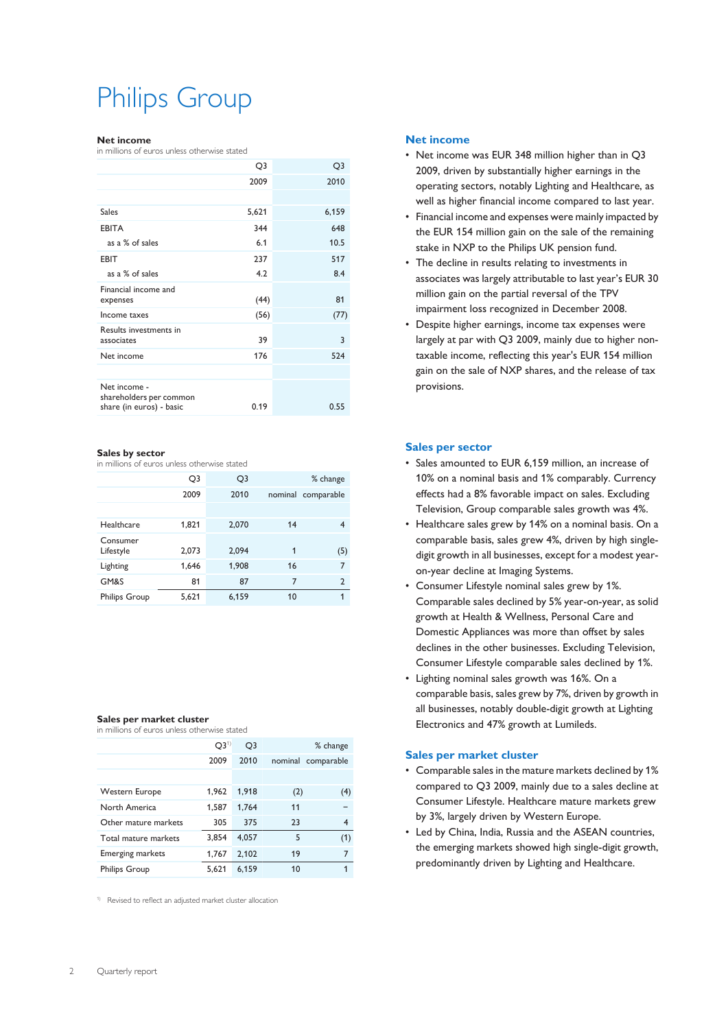## Philips Group

#### **Net income**

in millions of euros unless otherwise stated

|                                                                     | Q3    | Q3    |
|---------------------------------------------------------------------|-------|-------|
|                                                                     | 2009  | 2010  |
|                                                                     |       |       |
| Sales                                                               | 5,621 | 6,159 |
| <b>EBITA</b>                                                        | 344   | 648   |
| as a % of sales                                                     | 6.1   | 10.5  |
| <b>EBIT</b>                                                         | 237   | 517   |
| as a % of sales                                                     | 4.2   | 8.4   |
| Financial income and<br>expenses                                    | (44)  | 81    |
| Income taxes                                                        | (56)  | (77)  |
| Results investments in<br>associates                                | 39    | 3     |
| Net income                                                          | 176   | 524   |
|                                                                     |       |       |
| Net income -<br>shareholders per common<br>share (in euros) - basic | 0.19  | 0.55  |
|                                                                     |       |       |

### **Sales by sector**

in millions of euros unless otherwise stated

|                       | Q3    | Q <sub>3</sub> |              | % change       |
|-----------------------|-------|----------------|--------------|----------------|
|                       | 2009  | 2010           | nominal      | comparable     |
|                       |       |                |              |                |
| Healthcare            | 1,821 | 2,070          | 14           | 4              |
| Consumer<br>Lifestyle | 2,073 | 2,094          | $\mathbf{1}$ | (5)            |
| Lighting              | 1,646 | 1,908          | 16           | 7              |
| GM&S                  | 81    | 87             | 7            | $\mathfrak{p}$ |
| <b>Philips Group</b>  | 5,621 | 6,159          | 10           | 1              |

### **Sales per market cluster**

| in millions of euros unless otherwise stated |  |  |  |  |  |  |  |  |
|----------------------------------------------|--|--|--|--|--|--|--|--|
|----------------------------------------------|--|--|--|--|--|--|--|--|

|                         | Q3 <sup>1</sup> | Q <sub>3</sub> |     | % change           |
|-------------------------|-----------------|----------------|-----|--------------------|
|                         | 2009            | 2010           |     | nominal comparable |
|                         |                 |                |     |                    |
| Western Europe          | 1.962           | 1,918          | (2) | (4)                |
| North America           | 1,587           | 1,764          | 11  |                    |
| Other mature markets    | 305             | 375            | 23  | 4                  |
| Total mature markets    | 3.854           | 4.057          | 5   | (1)                |
| <b>Emerging markets</b> | 1,767           | 2,102          | 19  | 7                  |
| <b>Philips Group</b>    | 5.621           | 6.159          | 10  |                    |

1) Revised to reflect an adjusted market cluster allocation

### **Net income**

- Net income was EUR 348 million higher than in Q3 2009, driven by substantially higher earnings in the operating sectors, notably Lighting and Healthcare, as well as higher financial income compared to last year.
- Financial income and expenses were mainly impacted by the EUR 154 million gain on the sale of the remaining stake in NXP to the Philips UK pension fund.
- The decline in results relating to investments in associates was largely attributable to last year's EUR 30 million gain on the partial reversal of the TPV impairment loss recognized in December 2008.
- Despite higher earnings, income tax expenses were largely at par with Q3 2009, mainly due to higher nontaxable income, reflecting this year's EUR 154 million gain on the sale of NXP shares, and the release of tax provisions.

### **Sales per sector**

- Sales amounted to EUR 6,159 million, an increase of 10% on a nominal basis and 1% comparably. Currency effects had a 8% favorable impact on sales. Excluding Television, Group comparable sales growth was 4%.
- Healthcare sales grew by 14% on a nominal basis. On a comparable basis, sales grew 4%, driven by high singledigit growth in all businesses, except for a modest yearon-year decline at Imaging Systems.
- Consumer Lifestyle nominal sales grew by 1%. Comparable sales declined by 5% year-on-year, as solid growth at Health & Wellness, Personal Care and Domestic Appliances was more than offset by sales declines in the other businesses. Excluding Television, Consumer Lifestyle comparable sales declined by 1%.
- Lighting nominal sales growth was 16%. On a comparable basis, sales grew by 7%, driven by growth in all businesses, notably double-digit growth at Lighting Electronics and 47% growth at Lumileds.

### **Sales per market cluster**

- Comparable sales in the mature markets declined by 1% compared to Q3 2009, mainly due to a sales decline at Consumer Lifestyle. Healthcare mature markets grew by 3%, largely driven by Western Europe.
- Led by China, India, Russia and the ASEAN countries, the emerging markets showed high single-digit growth, predominantly driven by Lighting and Healthcare.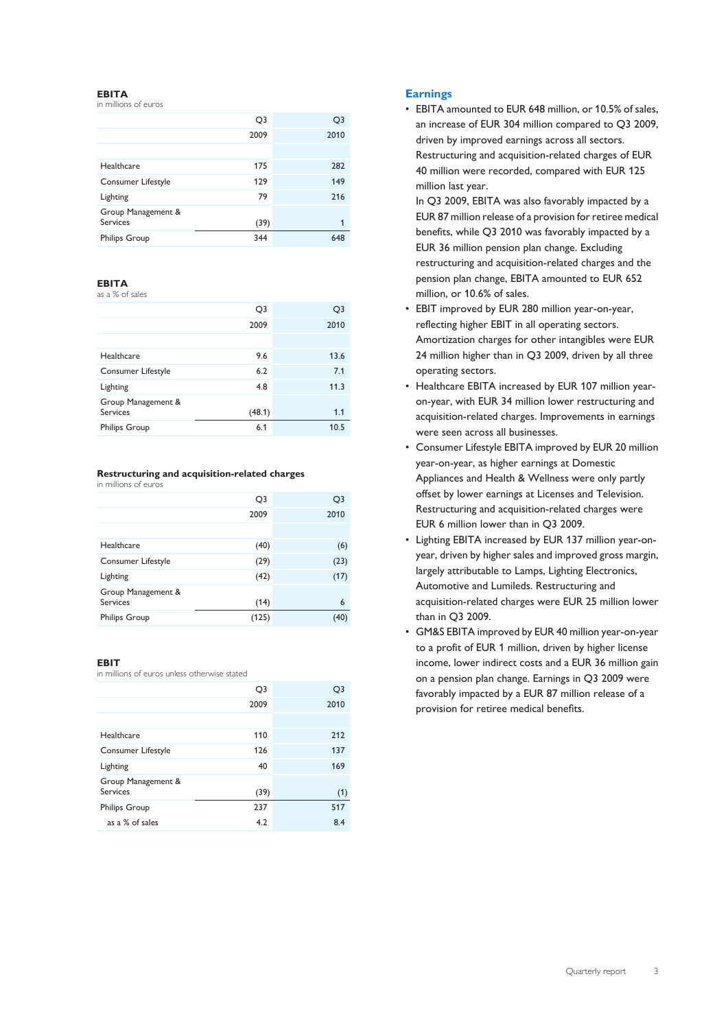### **EBITA**

in millions of euros

|                                | Q3   | Q3   |
|--------------------------------|------|------|
|                                | 2009 | 2010 |
|                                |      |      |
| Healthcare                     | 175  | 282  |
| Consumer Lifestyle             | 129  | 149  |
| Lighting                       | 79   | 216  |
| Group Management &<br>Services | (39) | 1    |
| <b>Philips Group</b>           | 344  | 648  |

### **EBITA**

as a % of sales

|                                       | Q <sub>3</sub> | Q3   |
|---------------------------------------|----------------|------|
|                                       | 2009           | 2010 |
|                                       |                |      |
| Healthcare                            | 9.6            | 13.6 |
| Consumer Lifestyle                    | 6.2            | 7.1  |
| Lighting                              | 4.8            | 11.3 |
| Group Management &<br><b>Services</b> | (48.1)         | 1.1  |
|                                       |                |      |
| <b>Philips Group</b>                  | 6.1            | 10.5 |
|                                       |                |      |

### **Restructuring and acquisition-related charges**

in millions of euros

|                                       | Q <sub>3</sub> | Q3   |
|---------------------------------------|----------------|------|
|                                       | 2009           | 2010 |
|                                       |                |      |
| Healthcare                            | (40)           | (6)  |
| Consumer Lifestyle                    | (29)           | (23) |
| Lighting                              | (42)           | (17) |
| Group Management &<br><b>Services</b> | (14)           | 6    |
| <b>Philips Group</b>                  | (125)          |      |

### **EBIT**

in millions of euros unless otherwise stated

|                                       | Q3   | Q3   |
|---------------------------------------|------|------|
|                                       | 2009 | 2010 |
|                                       |      |      |
| Healthcare                            | 110  | 212  |
| Consumer Lifestyle                    | 126  | 137  |
| Lighting                              | 40   | 169  |
| Group Management &<br><b>Services</b> | (39) | (1)  |
| <b>Philips Group</b>                  | 237  | 517  |
| as a % of sales                       | 4.2  | 8.4  |
|                                       |      |      |

### **Earnings**

• EBITA amounted to EUR 648 million, or 10.5% of sales, an increase of EUR 304 million compared to Q3 2009, driven by improved earnings across all sectors. Restructuring and acquisition-related charges of EUR 40 million were recorded, compared with EUR 125 million last year.

In Q3 2009, EBITA was also favorably impacted by a EUR 87 million release of a provision for retiree medical benefits, while Q3 2010 was favorably impacted by a EUR 36 million pension plan change. Excluding restructuring and acquisition-related charges and the pension plan change, EBITA amounted to EUR 652 million, or 10.6% of sales.

- EBIT improved by EUR 280 million year-on-year, reflecting higher EBIT in all operating sectors. Amortization charges for other intangibles were EUR 24 million higher than in Q3 2009, driven by all three operating sectors.
- Healthcare EBITA increased by EUR 107 million yearon-year, with EUR 34 million lower restructuring and acquisition-related charges. Improvements in earnings were seen across all businesses.
- Consumer Lifestyle EBITA improved by EUR 20 million year-on-year, as higher earnings at Domestic Appliances and Health & Wellness were only partly offset by lower earnings at Licenses and Television. Restructuring and acquisition-related charges were EUR 6 million lower than in Q3 2009.
- Lighting EBITA increased by EUR 137 million year-onyear, driven by higher sales and improved gross margin, largely attributable to Lamps, Lighting Electronics, Automotive and Lumileds. Restructuring and acquisition-related charges were EUR 25 million lower than in Q3 2009.
- GM&S EBITA improved by EUR 40 million year-on-year to a profit of EUR 1 million, driven by higher license income, lower indirect costs and a EUR 36 million gain on a pension plan change. Earnings in Q3 2009 were favorably impacted by a EUR 87 million release of a provision for retiree medical benefits.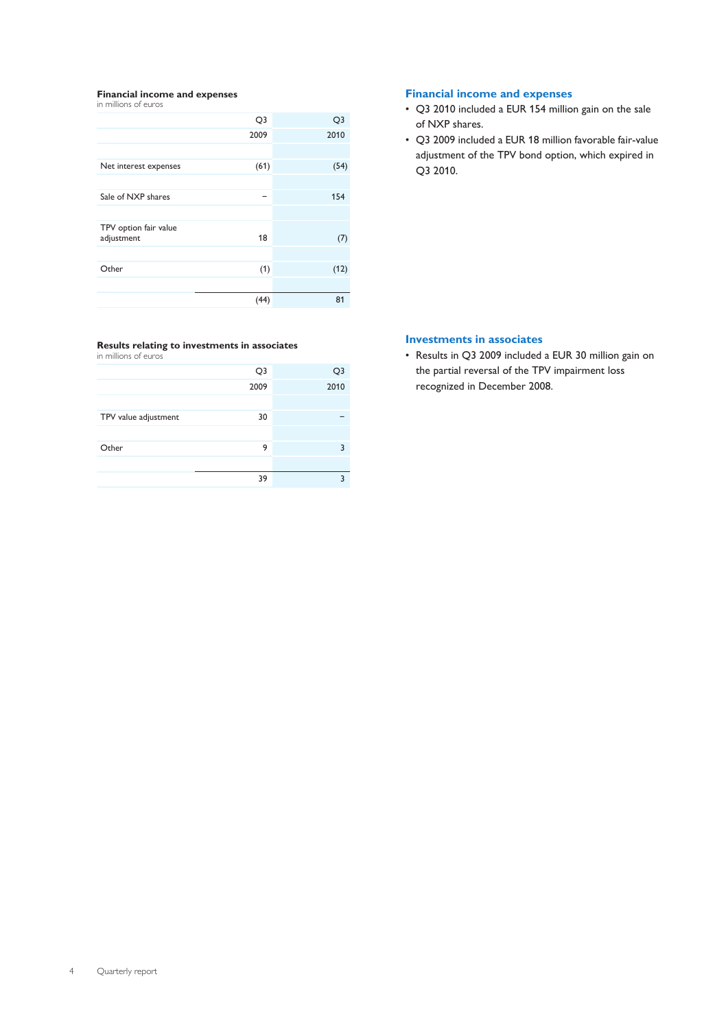#### **Financial income and expenses** in millions of euros

| Q <sub>3</sub> | Q3   |
|----------------|------|
| 2009           | 2010 |
|                |      |
| (61)           | (54) |
|                |      |
| -              | 154  |
|                |      |
| 18             | (7)  |
|                |      |
| (1)            | (12) |
|                |      |
| (44)           | 81   |
|                |      |

### **Results relating to investments in associates**

in millions of euros

|                      | Q <sub>3</sub> | Q3   |
|----------------------|----------------|------|
|                      | 2009           | 2010 |
|                      |                |      |
| TPV value adjustment | 30             |      |
|                      |                |      |
| Other                | 9              | ٦    |
|                      |                |      |
|                      | 39             | ∍    |

### **Financial income and expenses**

- Q3 2010 included a EUR 154 million gain on the sale of NXP shares.
- Q3 2009 included a EUR 18 million favorable fair-value adjustment of the TPV bond option, which expired in Q3 2010.

### **Investments in associates**

• Results in Q3 2009 included a EUR 30 million gain on the partial reversal of the TPV impairment loss recognized in December 2008.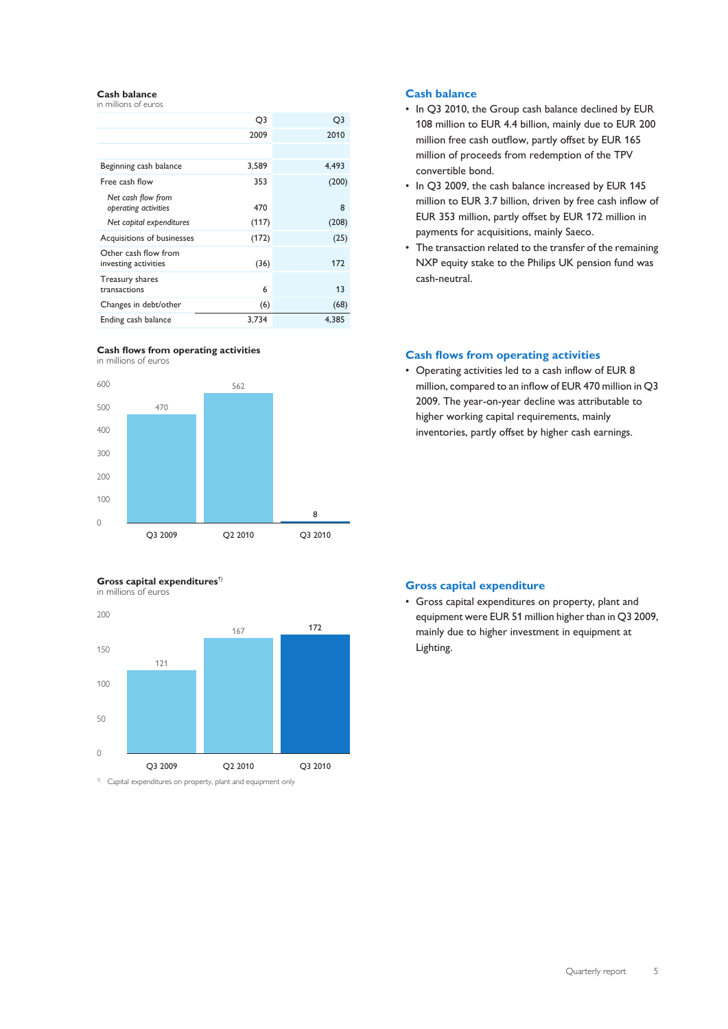#### **Cash balance** in millions of euros

|                                              | Q3    | Q3    |
|----------------------------------------------|-------|-------|
|                                              | 2009  | 2010  |
|                                              |       |       |
| Beginning cash balance                       | 3,589 | 4.493 |
| Free cash flow                               | 353   | (200) |
| Net cash flow from<br>operating activities   | 470   | 8     |
| Net capital expenditures                     | (117) | (208) |
| Acquisitions of businesses                   | (172) | (25)  |
| Other cash flow from<br>investing activities | (36)  | 172   |
| Treasury shares<br>transactions              | 6     | 13    |
| Changes in debt/other                        | (6)   | (68)  |
| Ending cash balance                          | 3,734 | 4,385 |

### **Cash flows from operating activities** in millions of euros



### **Gross capital expenditures<sup>1)</sup>**





1) Capital expenditures on property, plant and equipment only

### **Cash balance**

- In Q3 2010, the Group cash balance declined by EUR 108 million to EUR 4.4 billion, mainly due to EUR 200 million free cash outflow, partly offset by EUR 165 million of proceeds from redemption of the TPV convertible bond.
- In Q3 2009, the cash balance increased by EUR 145 million to EUR 3.7 billion, driven by free cash inflow of EUR 353 million, partly offset by EUR 172 million in payments for acquisitions, mainly Saeco.
- The transaction related to the transfer of the remaining NXP equity stake to the Philips UK pension fund was cash-neutral.

### **Cash flows from operating activities**

• Operating activities led to a cash inflow of EUR 8 million, compared to an inflow of EUR 470 million in Q3 2009. The year-on-year decline was attributable to higher working capital requirements, mainly inventories, partly offset by higher cash earnings.

### **Gross capital expenditure**

• Gross capital expenditures on property, plant and equipment were EUR 51 million higher than in Q3 2009, mainly due to higher investment in equipment at Lighting.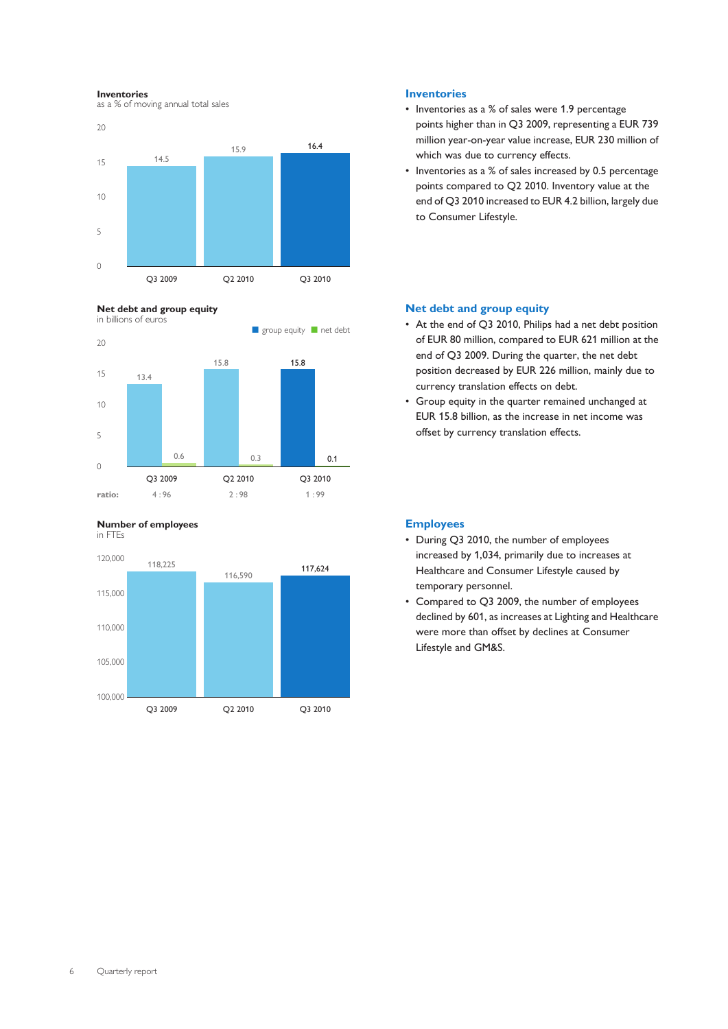#### **Inventories**

as a % of moving annual total sales

**Net debt and group equity**









### **Inventories**

- Inventories as a % of sales were 1.9 percentage points higher than in Q3 2009, representing a EUR 739 million year-on-year value increase, EUR 230 million of which was due to currency effects.
- Inventories as a % of sales increased by 0.5 percentage points compared to Q2 2010. Inventory value at the end of Q3 2010 increased to EUR 4.2 billion, largely due to Consumer Lifestyle.

### **Net debt and group equity**

- At the end of Q3 2010, Philips had a net debt position of EUR 80 million, compared to EUR 621 million at the end of Q3 2009. During the quarter, the net debt position decreased by EUR 226 million, mainly due to currency translation effects on debt.
- Group equity in the quarter remained unchanged at EUR 15.8 billion, as the increase in net income was offset by currency translation effects.

### **Employees**

- During Q3 2010, the number of employees increased by 1,034, primarily due to increases at Healthcare and Consumer Lifestyle caused by temporary personnel.
- Compared to Q3 2009, the number of employees declined by 601, as increases at Lighting and Healthcare were more than offset by declines at Consumer Lifestyle and GM&S.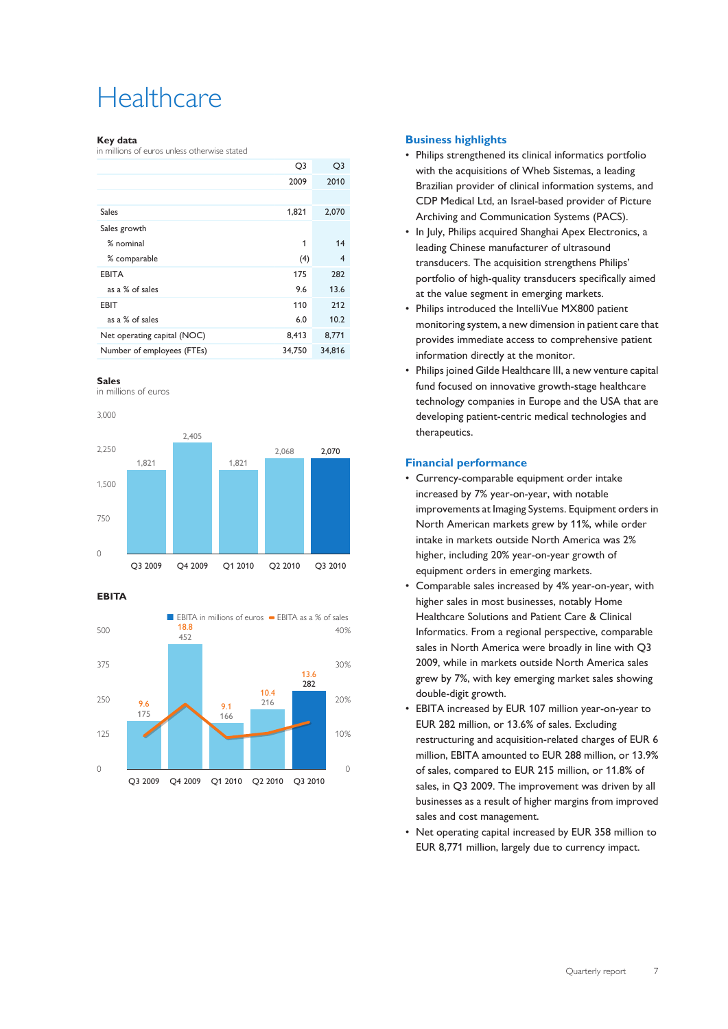## **Healthcare**

### **Key data**

in millions of euros unless otherwise stated

|                             | Q3     | Q <sub>3</sub> |
|-----------------------------|--------|----------------|
|                             | 2009   | 2010           |
|                             |        |                |
| <b>Sales</b>                | 1,821  | 2,070          |
| Sales growth                |        |                |
| % nominal                   | 1      | 14             |
| % comparable                | (4)    | $\overline{4}$ |
| <b>EBITA</b>                | 175    | 282            |
| as a % of sales             | 9.6    | 13.6           |
| <b>EBIT</b>                 | 110    | 212            |
| as a % of sales             | 6.0    | 10.2           |
| Net operating capital (NOC) | 8,413  | 8,771          |
| Number of employees (FTEs)  | 34,750 | 34,816         |
|                             |        |                |



in millions of euros





**EBITA**



### **Business highlights**

- Philips strengthened its clinical informatics portfolio with the acquisitions of Wheb Sistemas, a leading Brazilian provider of clinical information systems, and CDP Medical Ltd, an Israel-based provider of Picture Archiving and Communication Systems (PACS).
- In July, Philips acquired Shanghai Apex Electronics, a leading Chinese manufacturer of ultrasound transducers. The acquisition strengthens Philips' portfolio of high-quality transducers specifically aimed at the value segment in emerging markets.
- Philips introduced the IntelliVue MX800 patient monitoring system, a new dimension in patient care that provides immediate access to comprehensive patient information directly at the monitor.
- Philips joined Gilde Healthcare III, a new venture capital fund focused on innovative growth-stage healthcare technology companies in Europe and the USA that are developing patient-centric medical technologies and therapeutics.

### **Financial performance**

- Currency-comparable equipment order intake increased by 7% year-on-year, with notable improvements at Imaging Systems. Equipment orders in North American markets grew by 11%, while order intake in markets outside North America was 2% higher, including 20% year-on-year growth of equipment orders in emerging markets.
- Comparable sales increased by 4% year-on-year, with higher sales in most businesses, notably Home Healthcare Solutions and Patient Care & Clinical Informatics. From a regional perspective, comparable sales in North America were broadly in line with Q3 2009, while in markets outside North America sales grew by 7%, with key emerging market sales showing double-digit growth.
- EBITA increased by EUR 107 million year-on-year to EUR 282 million, or 13.6% of sales. Excluding restructuring and acquisition-related charges of EUR 6 million, EBITA amounted to EUR 288 million, or 13.9% of sales, compared to EUR 215 million, or 11.8% of sales, in Q3 2009. The improvement was driven by all businesses as a result of higher margins from improved sales and cost management.
- Net operating capital increased by EUR 358 million to EUR 8,771 million, largely due to currency impact.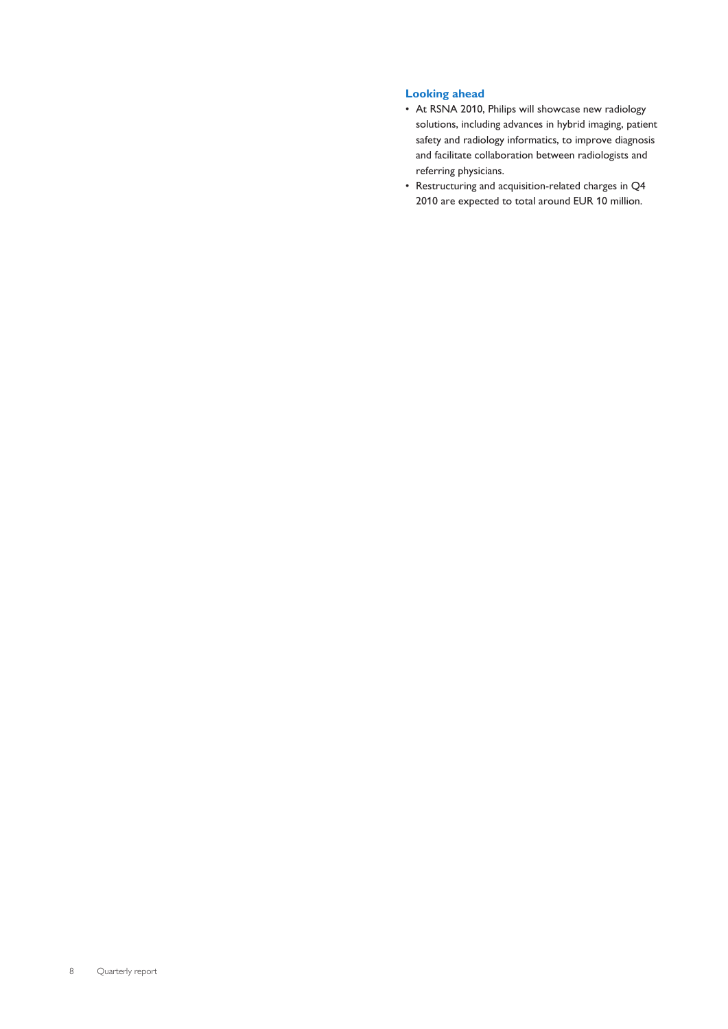### **Looking ahead**

- At RSNA 2010, Philips will showcase new radiology solutions, including advances in hybrid imaging, patient safety and radiology informatics, to improve diagnosis and facilitate collaboration between radiologists and referring physicians.
- Restructuring and acquisition-related charges in Q4 2010 are expected to total around EUR 10 million.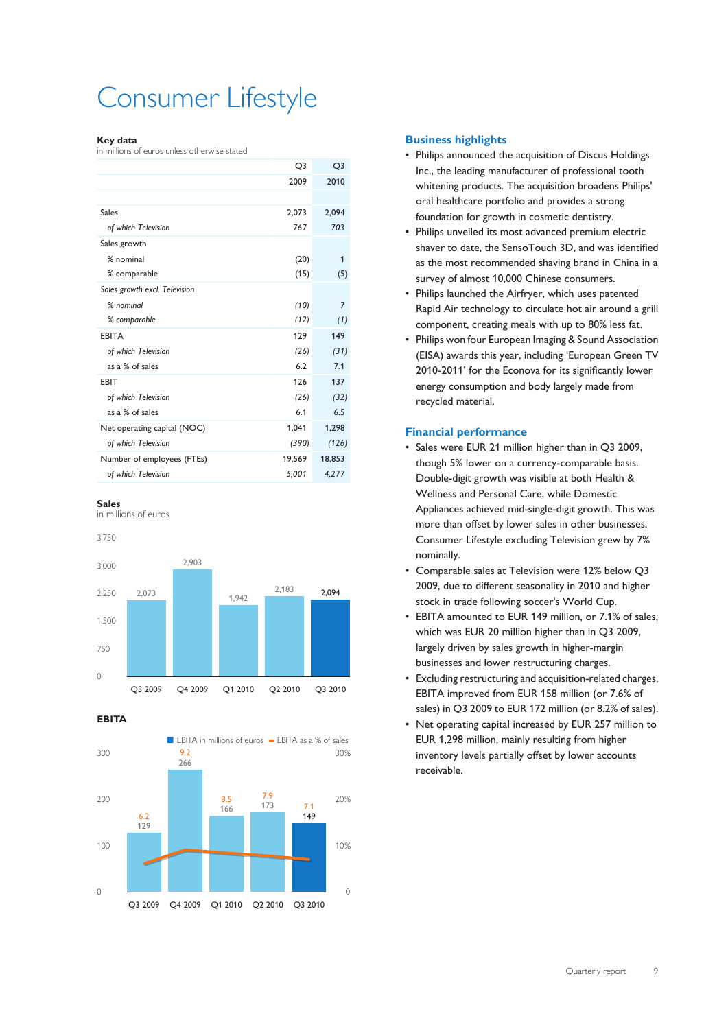## Consumer Lifestyle

### **Key data**

in millions of euros unless otherwise stated

|                               | Q3     | Q3             |
|-------------------------------|--------|----------------|
|                               | 2009   | 2010           |
|                               |        |                |
| Sales                         | 2,073  | 2,094          |
| of which Television           | 767    | 703            |
| Sales growth                  |        |                |
| % nominal                     | (20)   | 1              |
| % comparable                  | (15)   | (5)            |
| Sales growth excl. Television |        |                |
| % nominal                     | (10)   | $\overline{7}$ |
| % comparable                  | (12)   | (1)            |
| <b>EBITA</b>                  | 129    | 149            |
| of which Television           | (26)   | (31)           |
| as a % of sales               | 6.2    | 7.1            |
| EBIT                          | 126    | 137            |
| of which Television           | (26)   | (32)           |
| as a % of sales               | 6.1    | 6.5            |
| Net operating capital (NOC)   | 1,041  | 1,298          |
| of which Television           | (390)  | (126)          |
| Number of employees (FTEs)    | 19,569 | 18,853         |
| of which Television           | 5,001  | 4,277          |

### **Sales**

in millions of euros

3,750



**EBITA**



### **Business highlights**

- Philips announced the acquisition of Discus Holdings Inc., the leading manufacturer of professional tooth whitening products. The acquisition broadens Philips' oral healthcare portfolio and provides a strong foundation for growth in cosmetic dentistry.
- Philips unveiled its most advanced premium electric shaver to date, the SensoTouch 3D, and was identified as the most recommended shaving brand in China in a survey of almost 10,000 Chinese consumers.
- Philips launched the Airfryer, which uses patented Rapid Air technology to circulate hot air around a grill component, creating meals with up to 80% less fat.
- Philips won four European Imaging & Sound Association (EISA) awards this year, including 'European Green TV 2010-2011' for the Econova for its significantly lower energy consumption and body largely made from recycled material.

### **Financial performance**

- Sales were EUR 21 million higher than in Q3 2009, though 5% lower on a currency-comparable basis. Double-digit growth was visible at both Health & Wellness and Personal Care, while Domestic Appliances achieved mid-single-digit growth. This was more than offset by lower sales in other businesses. Consumer Lifestyle excluding Television grew by 7% nominally.
- Comparable sales at Television were 12% below Q3 2009, due to different seasonality in 2010 and higher stock in trade following soccer's World Cup.
- EBITA amounted to EUR 149 million, or 7.1% of sales, which was EUR 20 million higher than in Q3 2009, largely driven by sales growth in higher-margin businesses and lower restructuring charges.
- Excluding restructuring and acquisition-related charges, EBITA improved from EUR 158 million (or 7.6% of sales) in Q3 2009 to EUR 172 million (or 8.2% of sales).
- Net operating capital increased by EUR 257 million to EUR 1,298 million, mainly resulting from higher inventory levels partially offset by lower accounts receivable.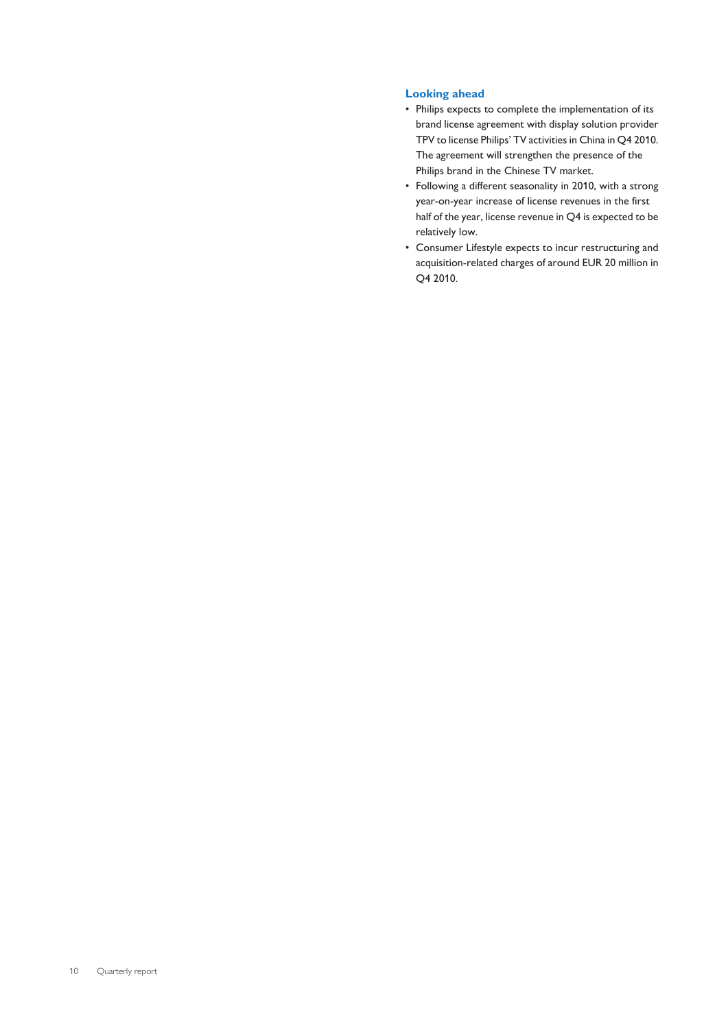### **Looking ahead**

- Philips expects to complete the implementation of its brand license agreement with display solution provider TPV to license Philips' TV activities in China in Q4 2010. The agreement will strengthen the presence of the Philips brand in the Chinese TV market.
- Following a different seasonality in 2010, with a strong year-on-year increase of license revenues in the first half of the year, license revenue in Q4 is expected to be relatively low.
- Consumer Lifestyle expects to incur restructuring and acquisition-related charges of around EUR 20 million in Q4 2010.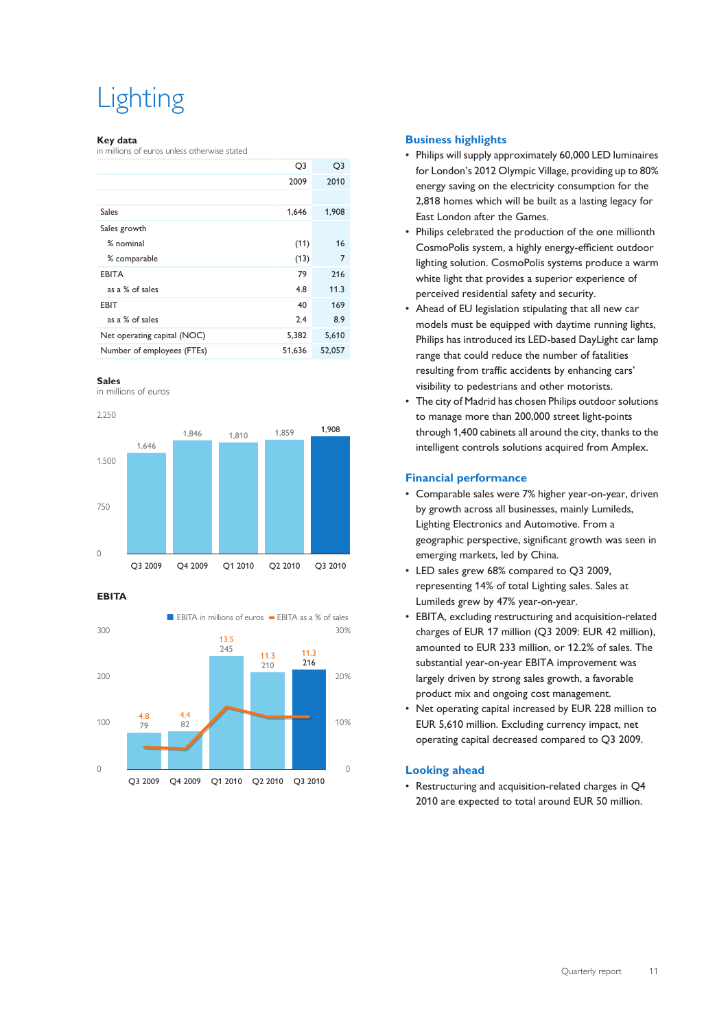## **Lighting**

### **Key data**

in millions of euros unless otherwise stated

|                             | Q3     | Q <sub>3</sub> |
|-----------------------------|--------|----------------|
|                             | 2009   | 2010           |
|                             |        |                |
| <b>Sales</b>                | 1,646  | 1,908          |
| Sales growth                |        |                |
| % nominal                   | (11)   | 16             |
| % comparable                | (13)   | 7              |
| <b>EBITA</b>                | 79     | 216            |
| as a % of sales             | 4.8    | 11.3           |
| <b>EBIT</b>                 | 40     | 169            |
| as a % of sales             | 2.4    | 8.9            |
| Net operating capital (NOC) | 5,382  | 5,610          |
| Number of employees (FTEs)  | 51,636 | 52,057         |
|                             |        |                |



in millions of euros





**EBITA**



### **Business highlights**

- Philips will supply approximately 60,000 LED luminaires for London's 2012 Olympic Village, providing up to 80% energy saving on the electricity consumption for the 2,818 homes which will be built as a lasting legacy for East London after the Games.
- Philips celebrated the production of the one millionth CosmoPolis system, a highly energy-efficient outdoor lighting solution. CosmoPolis systems produce a warm white light that provides a superior experience of perceived residential safety and security.
- Ahead of EU legislation stipulating that all new car models must be equipped with daytime running lights, Philips has introduced its LED-based DayLight car lamp range that could reduce the number of fatalities resulting from traffic accidents by enhancing cars' visibility to pedestrians and other motorists.
- The city of Madrid has chosen Philips outdoor solutions to manage more than 200,000 street light-points through 1,400 cabinets all around the city, thanks to the intelligent controls solutions acquired from Amplex.

### **Financial performance**

- Comparable sales were 7% higher year-on-year, driven by growth across all businesses, mainly Lumileds, Lighting Electronics and Automotive. From a geographic perspective, significant growth was seen in emerging markets, led by China.
- LED sales grew 68% compared to Q3 2009, representing 14% of total Lighting sales. Sales at Lumileds grew by 47% year-on-year.
- EBITA, excluding restructuring and acquisition-related charges of EUR 17 million (Q3 2009: EUR 42 million), amounted to EUR 233 million, or 12.2% of sales. The substantial year-on-year EBITA improvement was largely driven by strong sales growth, a favorable product mix and ongoing cost management.
- Net operating capital increased by EUR 228 million to EUR 5,610 million. Excluding currency impact, net operating capital decreased compared to Q3 2009.

### **Looking ahead**

• Restructuring and acquisition-related charges in Q4 2010 are expected to total around EUR 50 million.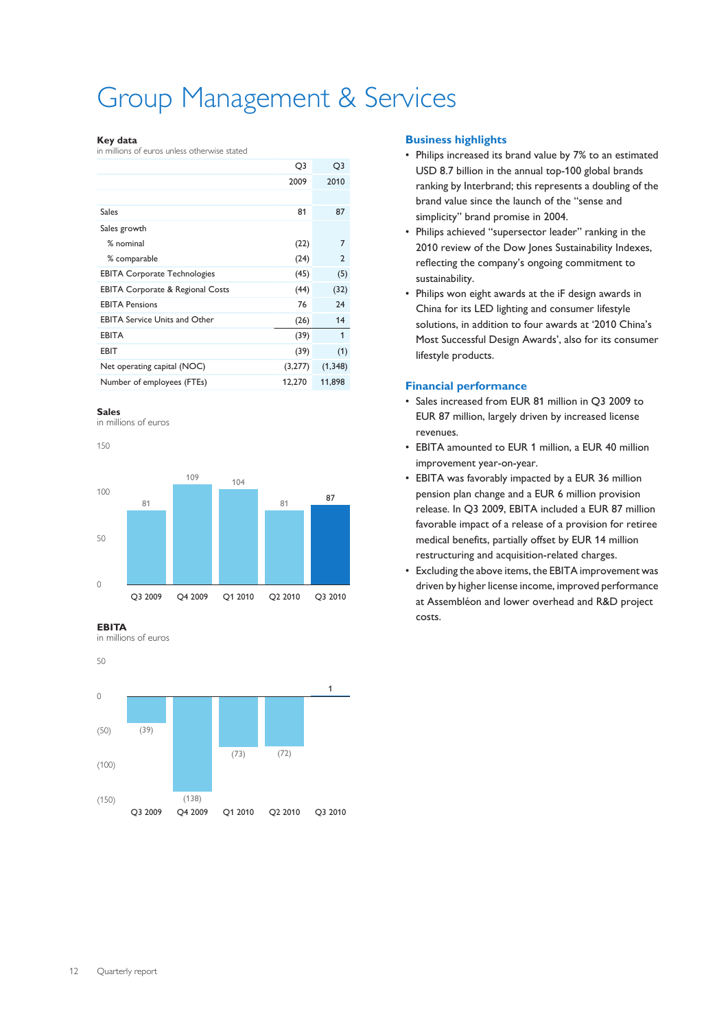## Group Management & Services

### **Key data**

in millions of euros unless otherwise stated

|                                             | Q3      | Q3             |
|---------------------------------------------|---------|----------------|
|                                             | 2009    | 2010           |
|                                             |         |                |
| Sales                                       | 81      | 87             |
| Sales growth                                |         |                |
| % nominal                                   | (22)    | 7              |
| % comparable                                | (24)    | $\overline{2}$ |
| <b>EBITA Corporate Technologies</b>         | (45)    | (5)            |
| <b>EBITA Corporate &amp; Regional Costs</b> | (44)    | (32)           |
| <b>EBITA Pensions</b>                       | 76      | 24             |
| <b>EBITA Service Units and Other</b>        | (26)    | 14             |
| <b>EBITA</b>                                | (39)    | 1              |
| EBIT                                        | (39)    | (1)            |
| Net operating capital (NOC)                 | (3,277) | (1, 348)       |
| Number of employees (FTEs)                  | 12,270  | 11,898         |

### **Sales**

in millions of euros



**EBITA**

in millions of euros



### **Business highlights**

- Philips increased its brand value by 7% to an estimated USD 8.7 billion in the annual top-100 global brands ranking by Interbrand; this represents a doubling of the brand value since the launch of the "sense and simplicity" brand promise in 2004.
- Philips achieved "supersector leader" ranking in the 2010 review of the Dow Jones Sustainability Indexes, reflecting the company's ongoing commitment to sustainability.
- Philips won eight awards at the iF design awards in China for its LED lighting and consumer lifestyle solutions, in addition to four awards at '2010 China's Most Successful Design Awards', also for its consumer lifestyle products.

### **Financial performance**

- Sales increased from EUR 81 million in Q3 2009 to EUR 87 million, largely driven by increased license revenues.
- EBITA amounted to EUR 1 million, a EUR 40 million improvement year-on-year.
- EBITA was favorably impacted by a EUR 36 million pension plan change and a EUR 6 million provision release. In Q3 2009, EBITA included a EUR 87 million favorable impact of a release of a provision for retiree medical benefits, partially offset by EUR 14 million restructuring and acquisition-related charges.
- Excluding the above items, the EBITA improvement was driven by higher license income, improved performance at Assembléon and lower overhead and R&D project costs.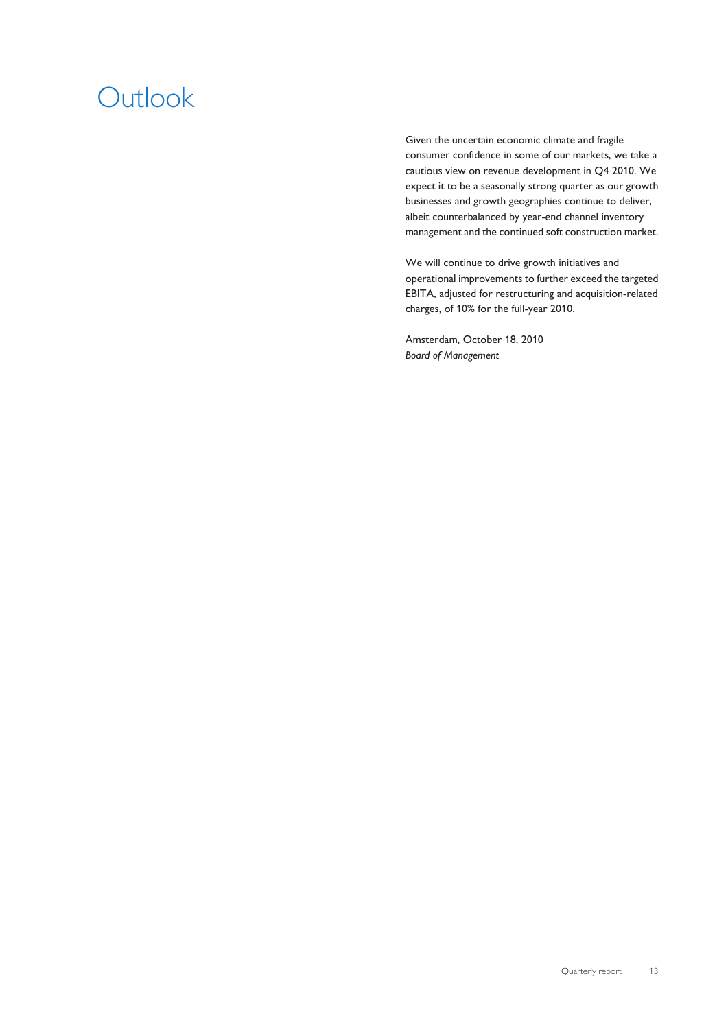## **Outlook**

Given the uncertain economic climate and fragile consumer confidence in some of our markets, we take a cautious view on revenue development in Q4 2010. We expect it to be a seasonally strong quarter as our growth businesses and growth geographies continue to deliver, albeit counterbalanced by year-end channel inventory management and the continued soft construction market.

We will continue to drive growth initiatives and operational improvements to further exceed the targeted EBITA, adjusted for restructuring and acquisition-related charges, of 10% for the full-year 2010.

Amsterdam, October 18, 2010 *Board of Management*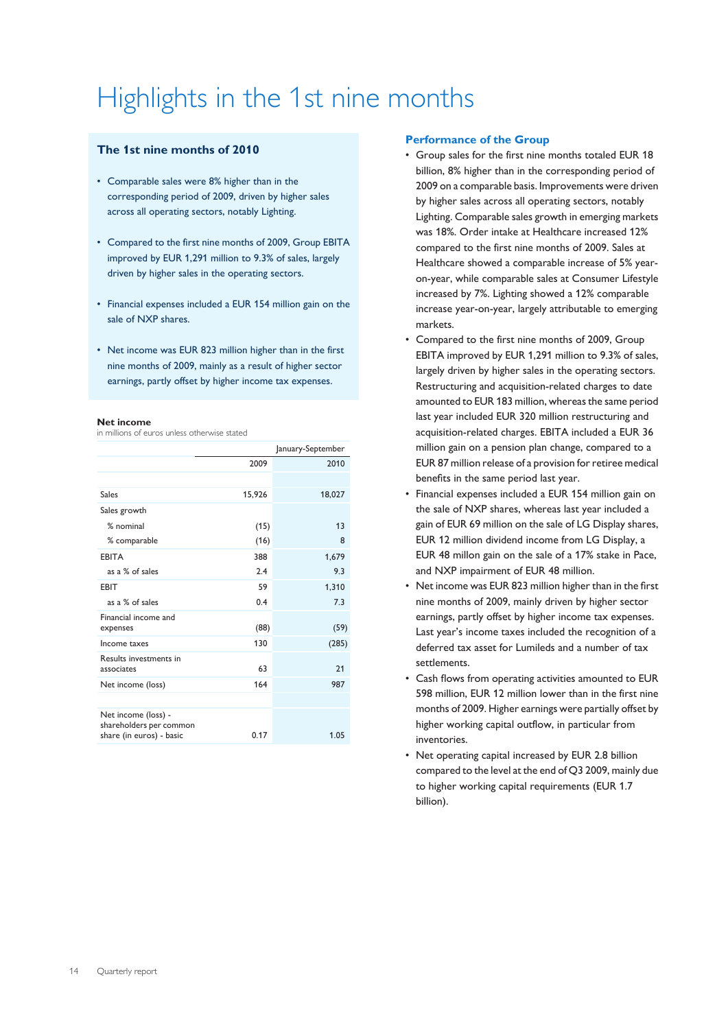## Highlights in the 1st nine months

### **The 1st nine months of 2010**

- Comparable sales were 8% higher than in the corresponding period of 2009, driven by higher sales across all operating sectors, notably Lighting.
- Compared to the first nine months of 2009, Group EBITA improved by EUR 1,291 million to 9.3% of sales, largely driven by higher sales in the operating sectors.
- Financial expenses included a EUR 154 million gain on the sale of NXP shares.
- Net income was EUR 823 million higher than in the first nine months of 2009, mainly as a result of higher sector earnings, partly offset by higher income tax expenses.

### **Net income**

in millions of euros unless otherwise stated

|                                                | January-September |        |  |  |  |
|------------------------------------------------|-------------------|--------|--|--|--|
|                                                | 2009              | 2010   |  |  |  |
|                                                |                   |        |  |  |  |
| Sales                                          | 15,926            | 18,027 |  |  |  |
| Sales growth                                   |                   |        |  |  |  |
| $%$ nominal                                    | (15)              | 13     |  |  |  |
| % comparable                                   | (16)              | 8      |  |  |  |
| <b>EBITA</b>                                   | 388               | 1,679  |  |  |  |
| as a % of sales                                | 74                | 9.3    |  |  |  |
| <b>EBIT</b>                                    | 59                | 1,310  |  |  |  |
| as a % of sales                                | 0.4               | 7.3    |  |  |  |
| Financial income and<br>expenses               | (88)              | (59)   |  |  |  |
| Income taxes                                   | 130               | (285)  |  |  |  |
| Results investments in<br>associates           | 63                | 21     |  |  |  |
| Net income (loss)                              | 164               | 987    |  |  |  |
|                                                |                   |        |  |  |  |
| Net income (loss) -<br>shareholders per common | 0.17              |        |  |  |  |
| share (in euros) - basic                       |                   | 1.05   |  |  |  |

### **Performance of the Group**

- Group sales for the first nine months totaled EUR 18 billion, 8% higher than in the corresponding period of 2009 on a comparable basis. Improvements were driven by higher sales across all operating sectors, notably Lighting. Comparable sales growth in emerging markets was 18%. Order intake at Healthcare increased 12% compared to the first nine months of 2009. Sales at Healthcare showed a comparable increase of 5% yearon-year, while comparable sales at Consumer Lifestyle increased by 7%. Lighting showed a 12% comparable increase year-on-year, largely attributable to emerging markets.
- Compared to the first nine months of 2009, Group EBITA improved by EUR 1,291 million to 9.3% of sales, largely driven by higher sales in the operating sectors. Restructuring and acquisition-related charges to date amounted to EUR 183 million, whereas the same period last year included EUR 320 million restructuring and acquisition-related charges. EBITA included a EUR 36 million gain on a pension plan change, compared to a EUR 87 million release of a provision for retiree medical benefits in the same period last year.
- Financial expenses included a EUR 154 million gain on the sale of NXP shares, whereas last year included a gain of EUR 69 million on the sale of LG Display shares, EUR 12 million dividend income from LG Display, a EUR 48 millon gain on the sale of a 17% stake in Pace, and NXP impairment of EUR 48 million.
- Net income was EUR 823 million higher than in the first nine months of 2009, mainly driven by higher sector earnings, partly offset by higher income tax expenses. Last year's income taxes included the recognition of a deferred tax asset for Lumileds and a number of tax settlements.
- Cash flows from operating activities amounted to EUR 598 million, EUR 12 million lower than in the first nine months of 2009. Higher earnings were partially offset by higher working capital outflow, in particular from inventories.
- Net operating capital increased by EUR 2.8 billion compared to the level at the end of Q3 2009, mainly due to higher working capital requirements (EUR 1.7 billion).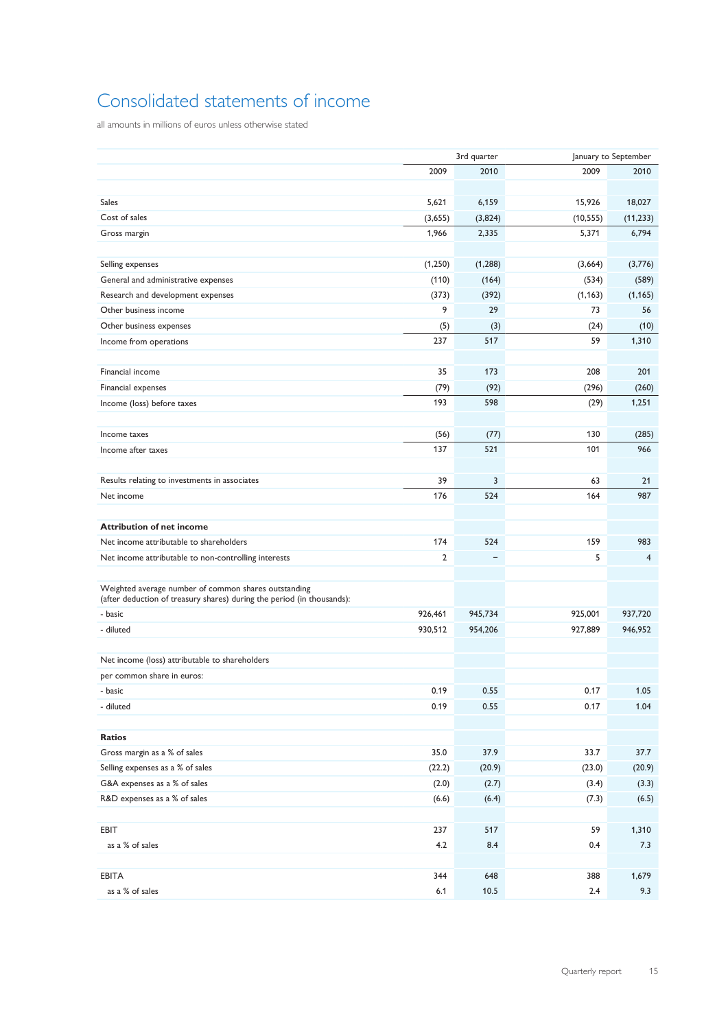## Consolidated statements of income

all amounts in millions of euros unless otherwise stated

|                                                                                                                                |                | 3rd quarter |           | January to September |
|--------------------------------------------------------------------------------------------------------------------------------|----------------|-------------|-----------|----------------------|
|                                                                                                                                | 2009           | 2010        | 2009      | 2010                 |
|                                                                                                                                |                |             |           |                      |
| <b>Sales</b>                                                                                                                   | 5,621          | 6,159       | 15,926    | 18,027               |
| Cost of sales                                                                                                                  | (3,655)        | (3,824)     | (10, 555) | (11, 233)            |
| Gross margin                                                                                                                   | 1,966          | 2,335       | 5,371     | 6,794                |
|                                                                                                                                |                |             |           |                      |
| Selling expenses                                                                                                               | (1,250)        | (1, 288)    | (3,664)   | (3,776)              |
| General and administrative expenses                                                                                            | (110)          | (164)       | (534)     | (589)                |
| Research and development expenses                                                                                              | (373)          | (392)       | (1, 163)  | (1, 165)             |
| Other business income                                                                                                          | 9              | 29          | 73        | 56                   |
| Other business expenses                                                                                                        | (5)            | (3)         | (24)      | (10)                 |
| Income from operations                                                                                                         | 237            | 517         | 59        | 1,310                |
|                                                                                                                                |                |             |           |                      |
| Financial income                                                                                                               | 35             | 173         | 208       | 201                  |
| Financial expenses                                                                                                             | (79)           | (92)        | (296)     | (260)                |
| Income (loss) before taxes                                                                                                     | 193            | 598         | (29)      | 1,251                |
|                                                                                                                                |                |             |           |                      |
| Income taxes                                                                                                                   | (56)           | (77)        | 130       | (285)                |
| Income after taxes                                                                                                             | 137            | 521         | 101       | 966                  |
|                                                                                                                                |                |             |           |                      |
| Results relating to investments in associates                                                                                  | 39             | 3           | 63        | 21                   |
| Net income                                                                                                                     | 176            | 524         | 164       | 987                  |
|                                                                                                                                |                |             |           |                      |
| <b>Attribution of net income</b>                                                                                               |                |             |           |                      |
| Net income attributable to shareholders                                                                                        | 174            | 524         | 159       | 983                  |
| Net income attributable to non-controlling interests                                                                           | $\overline{2}$ |             | 5         | 4                    |
|                                                                                                                                |                |             |           |                      |
| Weighted average number of common shares outstanding<br>(after deduction of treasury shares) during the period (in thousands): |                |             |           |                      |
| - basic                                                                                                                        | 926,461        | 945,734     | 925,001   | 937,720              |
| - diluted                                                                                                                      | 930,512        | 954,206     | 927,889   | 946,952              |
|                                                                                                                                |                |             |           |                      |
| Net income (loss) attributable to shareholders                                                                                 |                |             |           |                      |
| per common share in euros:                                                                                                     |                |             |           |                      |
| - basic                                                                                                                        | 0.19           | 0.55        | 0.17      | 1.05                 |
| - diluted                                                                                                                      | 0.19           | 0.55        | 0.17      | 1.04                 |
|                                                                                                                                |                |             |           |                      |
| <b>Ratios</b>                                                                                                                  |                |             |           |                      |
| Gross margin as a % of sales                                                                                                   | 35.0           | 37.9        | 33.7      | 37.7                 |
| Selling expenses as a % of sales                                                                                               | (22.2)         | (20.9)      | (23.0)    | (20.9)               |
| G&A expenses as a % of sales                                                                                                   | (2.0)          | (2.7)       | (3.4)     | (3.3)                |
| R&D expenses as a % of sales                                                                                                   | (6.6)          | (6.4)       | (7.3)     | (6.5)                |
|                                                                                                                                |                |             |           |                      |
| EBIT                                                                                                                           | 237            | 517         | 59        | 1,310                |
| as a % of sales                                                                                                                | 4.2            | 8.4         | 0.4       | 7.3                  |
|                                                                                                                                |                |             |           |                      |
| <b>EBITA</b>                                                                                                                   | 344            | 648         | 388       | 1,679                |
| as a % of sales                                                                                                                | 6.1            | 10.5        | 2.4       | 9.3                  |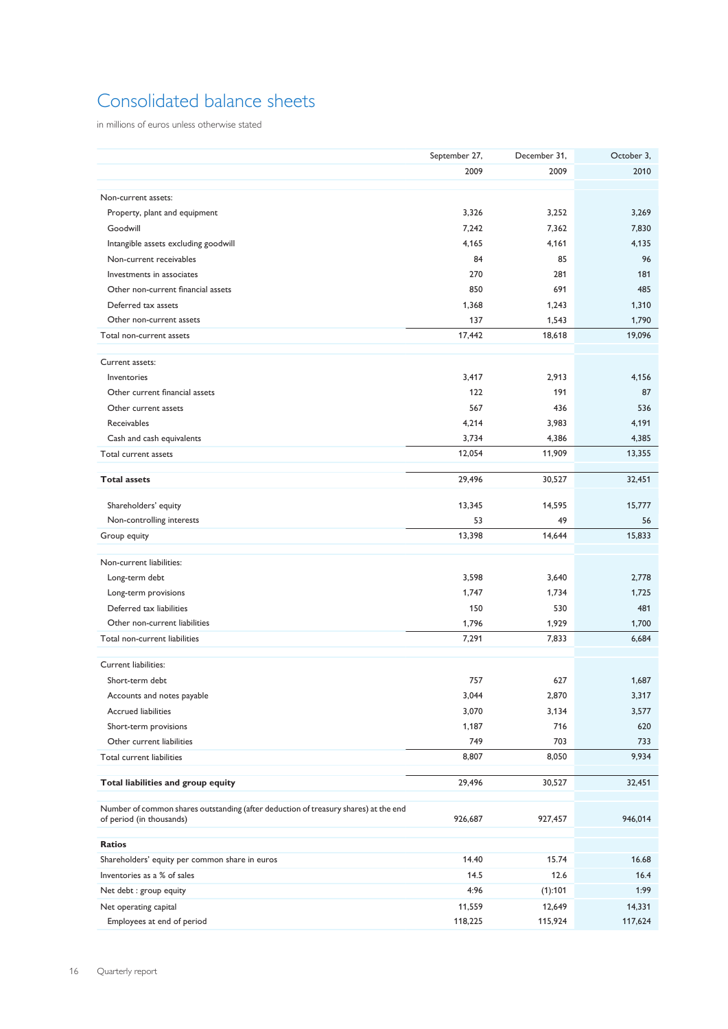### Consolidated balance sheets

in millions of euros unless otherwise stated

|                                                                                                                 | September 27, | December 31,    | October 3,      |
|-----------------------------------------------------------------------------------------------------------------|---------------|-----------------|-----------------|
|                                                                                                                 | 2009          | 2009            | 2010            |
|                                                                                                                 |               |                 |                 |
| Non-current assets:                                                                                             |               |                 |                 |
| Property, plant and equipment                                                                                   | 3,326         | 3,252           | 3,269           |
| Goodwill                                                                                                        | 7,242         | 7,362           | 7,830           |
| Intangible assets excluding goodwill                                                                            | 4,165         | 4,161           | 4,135           |
| Non-current receivables                                                                                         | 84            | 85              | 96              |
| Investments in associates<br>Other non-current financial assets                                                 | 270<br>850    | 281<br>691      | 181<br>485      |
|                                                                                                                 |               |                 |                 |
| Deferred tax assets<br>Other non-current assets                                                                 | 1,368         | 1,243           | 1,310           |
| Total non-current assets                                                                                        | 137<br>17,442 | 1,543<br>18,618 | 1,790<br>19,096 |
|                                                                                                                 |               |                 |                 |
| Current assets:                                                                                                 |               |                 |                 |
| Inventories                                                                                                     | 3,417         | 2,913           | 4,156           |
| Other current financial assets                                                                                  | 122           | 191             | 87              |
| Other current assets                                                                                            | 567           | 436             | 536             |
| <b>Receivables</b>                                                                                              | 4,214         | 3,983           | 4,191           |
| Cash and cash equivalents                                                                                       | 3,734         | 4,386           | 4,385           |
| Total current assets                                                                                            | 12,054        | 11,909          | 13,355          |
|                                                                                                                 |               |                 |                 |
| <b>Total assets</b>                                                                                             | 29,496        | 30,527          | 32,451          |
| Shareholders' equity                                                                                            | 13,345        | 14,595          | 15,777          |
| Non-controlling interests                                                                                       | 53            | 49              | 56              |
| Group equity                                                                                                    | 13,398        | 14,644          | 15,833          |
|                                                                                                                 |               |                 |                 |
| Non-current liabilities:                                                                                        |               |                 |                 |
| Long-term debt                                                                                                  | 3,598         | 3,640           | 2,778           |
| Long-term provisions                                                                                            | 1,747         | 1,734           | 1,725           |
| Deferred tax liabilities                                                                                        | 150           | 530             | 481             |
| Other non-current liabilities                                                                                   | 1,796         | 1,929           | 1,700           |
| Total non-current liabilities                                                                                   | 7,291         | 7,833           | 6,684           |
| Current liabilities:                                                                                            |               |                 |                 |
| Short-term debt                                                                                                 | 757           | 627             | 1,687           |
| Accounts and notes payable                                                                                      | 3,044         | 2,870           | 3,317           |
| <b>Accrued liabilities</b>                                                                                      | 3,070         | 3,134           | 3,577           |
| Short-term provisions                                                                                           | 1,187         | 716             | 620             |
| Other current liabilities                                                                                       | 749           | 703             | 733             |
| Total current liabilities                                                                                       | 8,807         | 8,050           | 9,934           |
|                                                                                                                 |               |                 |                 |
| Total liabilities and group equity                                                                              | 29,496        | 30,527          | 32,451          |
|                                                                                                                 |               |                 |                 |
| Number of common shares outstanding (after deduction of treasury shares) at the end<br>of period (in thousands) | 926,687       | 927,457         | 946,014         |
|                                                                                                                 |               |                 |                 |
| <b>Ratios</b>                                                                                                   |               |                 |                 |
| Shareholders' equity per common share in euros                                                                  | 14.40         | 15.74           | 16.68           |
| Inventories as a % of sales                                                                                     | 14.5          | 12.6            | 16.4            |
| Net debt : group equity                                                                                         | 4:96          | (1):101         | 1:99            |
| Net operating capital                                                                                           | 11,559        | 12,649          | 14,331          |
| Employees at end of period                                                                                      | 118,225       | 115,924         | 117,624         |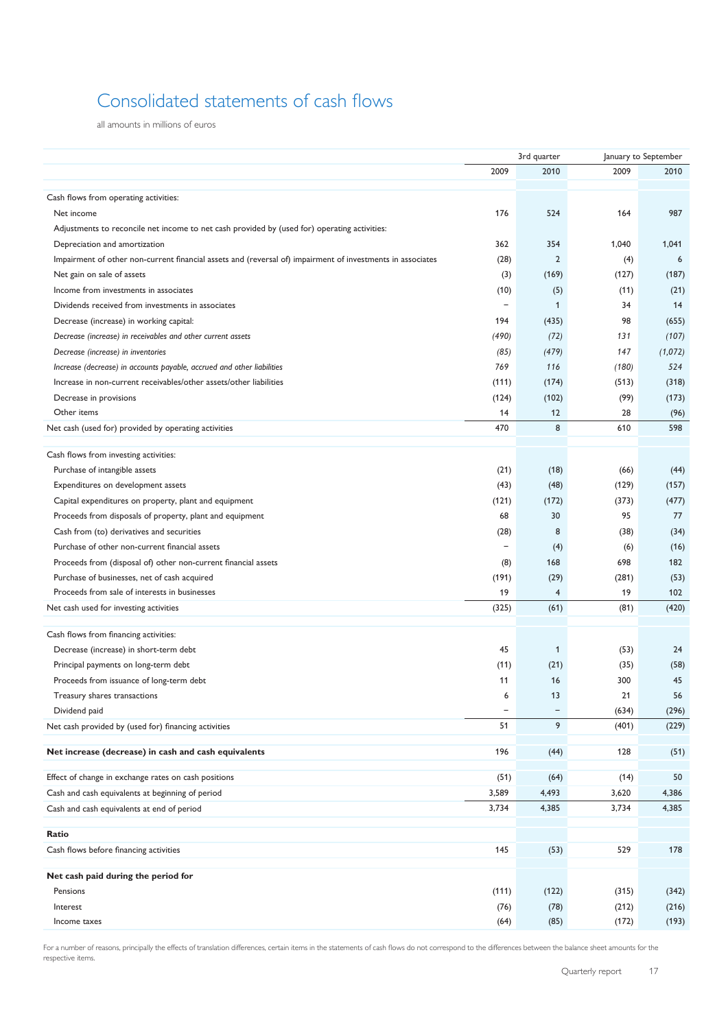## Consolidated statements of cash flows

all amounts in millions of euros

|                                                                                                            |                          | 3rd quarter    | January to September |         |  |
|------------------------------------------------------------------------------------------------------------|--------------------------|----------------|----------------------|---------|--|
|                                                                                                            | 2009                     | 2010           | 2009                 | 2010    |  |
|                                                                                                            |                          |                |                      |         |  |
| Cash flows from operating activities:                                                                      |                          |                |                      |         |  |
| Net income                                                                                                 | 176                      | 524            | 164                  | 987     |  |
| Adjustments to reconcile net income to net cash provided by (used for) operating activities:               |                          |                |                      |         |  |
| Depreciation and amortization                                                                              | 362                      | 354            | 1,040                | 1,041   |  |
| Impairment of other non-current financial assets and (reversal of) impairment of investments in associates | (28)                     | $\overline{2}$ | (4)                  | 6       |  |
| Net gain on sale of assets                                                                                 | (3)                      | (169)          | (127)                | (187)   |  |
| Income from investments in associates                                                                      | (10)                     | (5)            | (11)                 | (21)    |  |
| Dividends received from investments in associates                                                          | $\overline{\phantom{a}}$ | 1              | 34                   | 14      |  |
| Decrease (increase) in working capital:                                                                    | 194                      | (435)          | 98                   | (655)   |  |
| Decrease (increase) in receivables and other current assets                                                | (490)                    | (72)           | 131                  | (107)   |  |
| Decrease (increase) in inventories                                                                         | (85)                     | (479)          | 147                  | (1,072) |  |
| Increase (decrease) in accounts payable, accrued and other liabilities                                     | 769                      | 116            | (180)                | 524     |  |
| Increase in non-current receivables/other assets/other liabilities                                         | (111)                    | (174)          | (513)                | (318)   |  |
| Decrease in provisions                                                                                     | (124)                    | (102)          | (99)                 | (173)   |  |
| Other items                                                                                                | 14                       | 12             | 28                   | (96)    |  |
| Net cash (used for) provided by operating activities                                                       | 470                      | 8              | 610                  | 598     |  |
|                                                                                                            |                          |                |                      |         |  |
| Cash flows from investing activities:                                                                      |                          |                |                      |         |  |
| Purchase of intangible assets                                                                              | (21)                     | (18)           | (66)                 | (44)    |  |
| Expenditures on development assets                                                                         | (43)                     | (48)           | (129)                | (157)   |  |
| Capital expenditures on property, plant and equipment                                                      | (121)                    | (172)          | (373)                | (477)   |  |
| Proceeds from disposals of property, plant and equipment                                                   | 68                       | 30             | 95                   | 77      |  |
| Cash from (to) derivatives and securities                                                                  | (28)                     | 8              | (38)                 | (34)    |  |
| Purchase of other non-current financial assets                                                             | $\qquad \qquad -$        | (4)            | (6)                  | (16)    |  |
| Proceeds from (disposal of) other non-current financial assets                                             | (8)                      | 168            | 698                  | 182     |  |
| Purchase of businesses, net of cash acquired                                                               | (191)                    | (29)           | (281)                | (53)    |  |
| Proceeds from sale of interests in businesses                                                              | 19                       | $\overline{4}$ | 19                   | 102     |  |
| Net cash used for investing activities                                                                     | (325)                    | (61)           | (81)                 | (420)   |  |
|                                                                                                            |                          |                |                      |         |  |
| Cash flows from financing activities:                                                                      |                          |                |                      |         |  |
| Decrease (increase) in short-term debt                                                                     | 45                       | 1              | (53)                 | 24      |  |
| Principal payments on long-term debt                                                                       | (11)                     | (21)           | (35)                 | (58)    |  |
| Proceeds from issuance of long-term debt                                                                   | 11                       | 16             | 300                  | 45      |  |
| Treasury shares transactions                                                                               | $\epsilon$               | 13             | 21                   | 56      |  |
| Dividend paid                                                                                              | $\overline{\phantom{0}}$ | -              | (634)                | (296)   |  |
| Net cash provided by (used for) financing activities                                                       | 51                       | 9              | (401)                | (229)   |  |
| Net increase (decrease) in cash and cash equivalents                                                       | 196                      | (44)           | 128                  | (51)    |  |
|                                                                                                            |                          |                |                      |         |  |
| Effect of change in exchange rates on cash positions                                                       | (51)                     | (64)           | (14)                 | 50      |  |
| Cash and cash equivalents at beginning of period                                                           | 3,589                    | 4,493          | 3,620                | 4,386   |  |
| Cash and cash equivalents at end of period                                                                 | 3,734                    | 4,385          | 3,734                | 4,385   |  |
|                                                                                                            |                          |                |                      |         |  |
| Ratio                                                                                                      |                          |                |                      |         |  |
| Cash flows before financing activities                                                                     | 145                      | (53)           | 529                  | 178     |  |
| Net cash paid during the period for                                                                        |                          |                |                      |         |  |
| Pensions                                                                                                   | (111)                    | (122)          | (315)                | (342)   |  |
| Interest                                                                                                   | (76)                     | (78)           | (212)                | (216)   |  |
| Income taxes                                                                                               | (64)                     | (85)           | (172)                | (193)   |  |
|                                                                                                            |                          |                |                      |         |  |

For a number of reasons, principally the effects of translation differences, certain items in the statements of cash flows do not correspond to the differences between the balance sheet amounts for the respective items.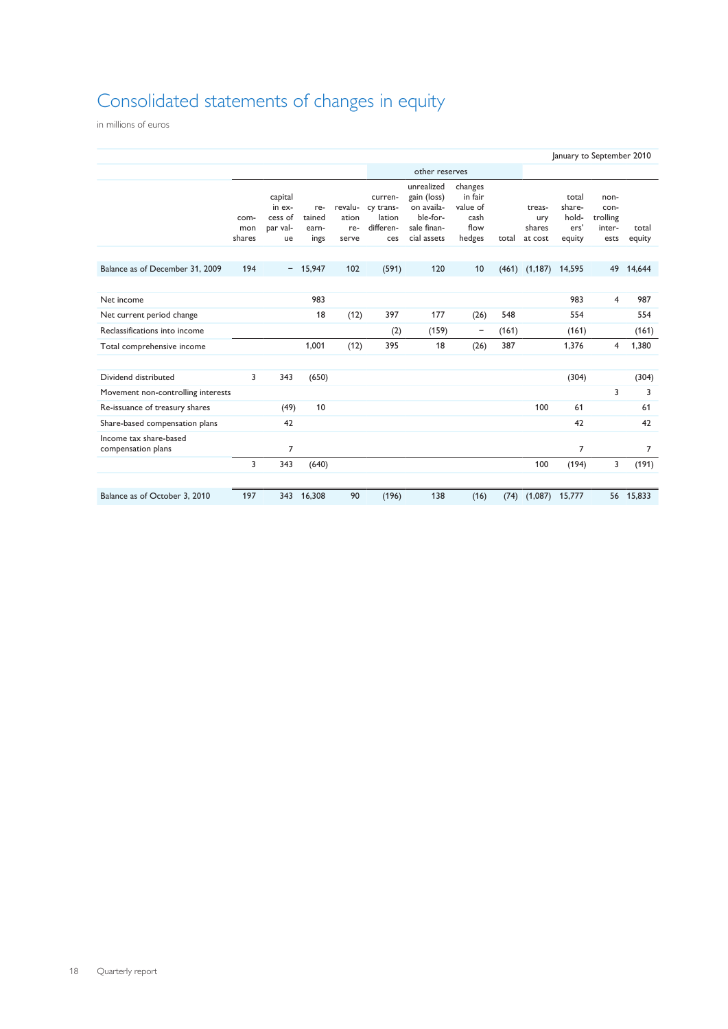## Consolidated statements of changes in equity

in millions of euros

|                                              | January to September 2010 |                                                |                                |                                  |                                                    |                                                                                   |                                                          |       |                                    |                                            |                                            |                 |
|----------------------------------------------|---------------------------|------------------------------------------------|--------------------------------|----------------------------------|----------------------------------------------------|-----------------------------------------------------------------------------------|----------------------------------------------------------|-------|------------------------------------|--------------------------------------------|--------------------------------------------|-----------------|
|                                              |                           |                                                |                                |                                  |                                                    | other reserves                                                                    |                                                          |       |                                    |                                            |                                            |                 |
|                                              | com-<br>mon<br>shares     | capital<br>in ex-<br>cess of<br>par val-<br>ue | re-<br>tained<br>earn-<br>ings | revalu-<br>ation<br>re-<br>serve | curren-<br>cy trans-<br>lation<br>differen-<br>ces | unrealized<br>gain (loss)<br>on availa-<br>ble-for-<br>sale finan-<br>cial assets | changes<br>in fair<br>value of<br>cash<br>flow<br>hedges | total | treas-<br>ury<br>shares<br>at cost | total<br>share-<br>hold-<br>ers'<br>equity | non-<br>con-<br>trolling<br>inter-<br>ests | total<br>equity |
| Balance as of December 31, 2009              | 194                       | $-$                                            | 15,947                         | 102                              | (591)                                              | 120                                                                               | 10                                                       | (461) | (1, 187)                           | 14,595                                     | 49                                         | 14,644          |
| Net income                                   |                           |                                                | 983                            |                                  |                                                    |                                                                                   |                                                          |       |                                    | 983                                        | $\overline{4}$                             | 987             |
| Net current period change                    |                           |                                                | 18                             | (12)                             | 397                                                | 177                                                                               | (26)                                                     | 548   |                                    | 554                                        |                                            | 554             |
| Reclassifications into income                |                           |                                                |                                |                                  | (2)                                                | (159)                                                                             | -                                                        | (161) |                                    | (161)                                      |                                            | (161)           |
| Total comprehensive income                   |                           |                                                | 1,001                          | (12)                             | 395                                                | 18                                                                                | (26)                                                     | 387   |                                    | 1,376                                      | 4                                          | 1,380           |
| Dividend distributed                         | 3                         | 343                                            | (650)                          |                                  |                                                    |                                                                                   |                                                          |       |                                    | (304)                                      |                                            | (304)           |
| Movement non-controlling interests           |                           |                                                |                                |                                  |                                                    |                                                                                   |                                                          |       |                                    |                                            | 3                                          | 3               |
| Re-issuance of treasury shares               |                           | (49)                                           | 10                             |                                  |                                                    |                                                                                   |                                                          |       | 100                                | 61                                         |                                            | 61              |
| Share-based compensation plans               |                           | 42                                             |                                |                                  |                                                    |                                                                                   |                                                          |       |                                    | 42                                         |                                            | 42              |
| Income tax share-based<br>compensation plans |                           | $\overline{7}$                                 |                                |                                  |                                                    |                                                                                   |                                                          |       |                                    | 7                                          |                                            | $\overline{7}$  |
|                                              | 3                         | 343                                            | (640)                          |                                  |                                                    |                                                                                   |                                                          |       | 100                                | (194)                                      | 3                                          | (191)           |
| Balance as of October 3, 2010                | 197                       | 343                                            | 16,308                         | 90                               | (196)                                              | 138                                                                               | (16)                                                     | (74)  | (1,087)                            | 15,777                                     |                                            | 56 15,833       |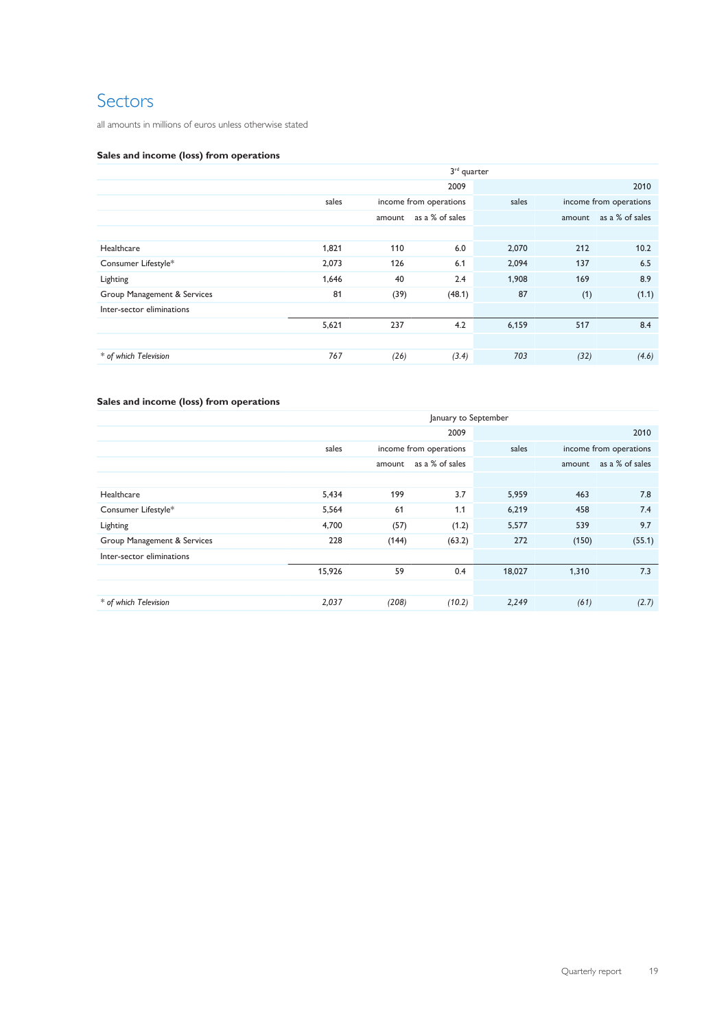### Sectors

all amounts in millions of euros unless otherwise stated

### **Sales and income (loss) from operations**

|                             | $3rd$ quarter |        |                        |       |        |                        |
|-----------------------------|---------------|--------|------------------------|-------|--------|------------------------|
|                             | 2009          |        |                        |       |        | 2010                   |
|                             | sales         |        | income from operations | sales |        | income from operations |
|                             |               | amount | as a % of sales        |       | amount | as a % of sales        |
|                             |               |        |                        |       |        |                        |
| Healthcare                  | 1,821         | 110    | 6.0                    | 2,070 | 212    | 10.2                   |
| Consumer Lifestyle*         | 2,073         | 126    | 6.1                    | 2,094 | 137    | 6.5                    |
| Lighting                    | 1,646         | 40     | 2.4                    | 1,908 | 169    | 8.9                    |
| Group Management & Services | 81            | (39)   | (48.1)                 | 87    | (1)    | (1.1)                  |
| Inter-sector eliminations   |               |        |                        |       |        |                        |
|                             | 5,621         | 237    | 4.2                    | 6,159 | 517    | 8.4                    |
|                             |               |        |                        |       |        |                        |
| * of which Television       | 767           | (26)   | (3.4)                  | 703   | (32)   | (4.6)                  |

### **Sales and income (loss) from operations**

|                             |        | January to September |                        |        |        |                        |  |  |
|-----------------------------|--------|----------------------|------------------------|--------|--------|------------------------|--|--|
|                             |        | 2009<br>2010         |                        |        |        |                        |  |  |
|                             | sales  |                      | income from operations | sales  |        | income from operations |  |  |
|                             |        | amount               | as a % of sales        |        | amount | as a % of sales        |  |  |
|                             |        |                      |                        |        |        |                        |  |  |
| Healthcare                  | 5,434  | 199                  | 3.7                    | 5,959  | 463    | 7.8                    |  |  |
| Consumer Lifestyle*         | 5,564  | 61                   | 1.1                    | 6,219  | 458    | 7.4                    |  |  |
| Lighting                    | 4,700  | (57)                 | (1.2)                  | 5,577  | 539    | 9.7                    |  |  |
| Group Management & Services | 228    | (144)                | (63.2)                 | 272    | (150)  | (55.1)                 |  |  |
| Inter-sector eliminations   |        |                      |                        |        |        |                        |  |  |
|                             | 15,926 | 59                   | 0.4                    | 18,027 | 1,310  | 7.3                    |  |  |
|                             |        |                      |                        |        |        |                        |  |  |
| * of which Television       | 2,037  | (208)                | (10.2)                 | 2,249  | (61)   | (2.7)                  |  |  |
|                             |        |                      |                        |        |        |                        |  |  |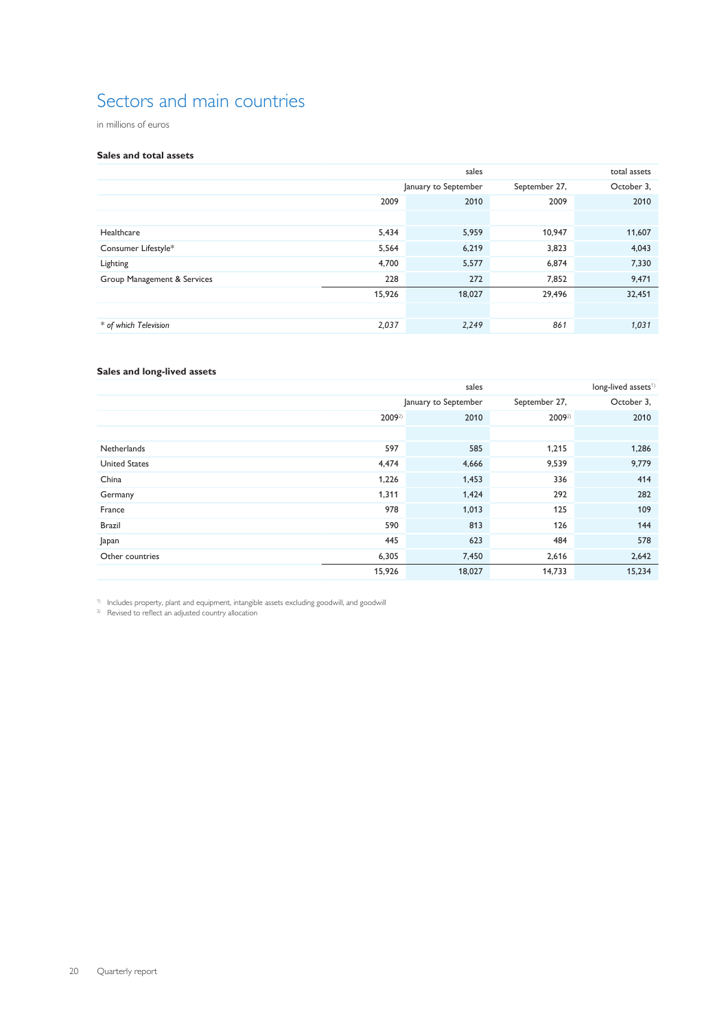### Sectors and main countries

in millions of euros

### **Sales and total assets**

|                             |        | total assets         |               |            |
|-----------------------------|--------|----------------------|---------------|------------|
|                             |        | January to September | September 27, | October 3, |
|                             | 2009   | 2010                 | 2009          | 2010       |
|                             |        |                      |               |            |
| Healthcare                  | 5,434  | 5,959                | 10,947        | 11,607     |
| Consumer Lifestyle*         | 5,564  | 6,219                | 3,823         | 4,043      |
| Lighting                    | 4,700  | 5,577                | 6,874         | 7,330      |
| Group Management & Services | 228    | 272                  | 7,852         | 9,471      |
|                             | 15,926 | 18,027               | 29,496        | 32,451     |
|                             |        |                      |               |            |
| * of which Television       | 2,037  | 2,249                | 861           | 1,031      |

### **Sales and long-lived assets**

|                      |        | sales                |               | long-lived assets <sup>1)</sup> |
|----------------------|--------|----------------------|---------------|---------------------------------|
|                      |        | January to September | September 27, | October 3,                      |
|                      | 20092) | 2010                 | 20092)        | 2010                            |
|                      |        |                      |               |                                 |
| Netherlands          | 597    | 585                  | 1,215         | 1,286                           |
| <b>United States</b> | 4,474  | 4,666                | 9,539         | 9,779                           |
| China                | 1,226  | 1,453                | 336           | 414                             |
| Germany              | 1,311  | 1,424                | 292           | 282                             |
| France               | 978    | 1,013                | 125           | 109                             |
| <b>Brazil</b>        | 590    | 813                  | 126           | 144                             |
| Japan                | 445    | 623                  | 484           | 578                             |
| Other countries      | 6,305  | 7,450                | 2,616         | 2,642                           |
|                      | 15,926 | 18,027               | 14,733        | 15,234                          |

1) Includes property, plant and equipment, intangible assets excluding goodwill, and goodwill

<sup>2)</sup> Revised to reflect an adjusted country allocation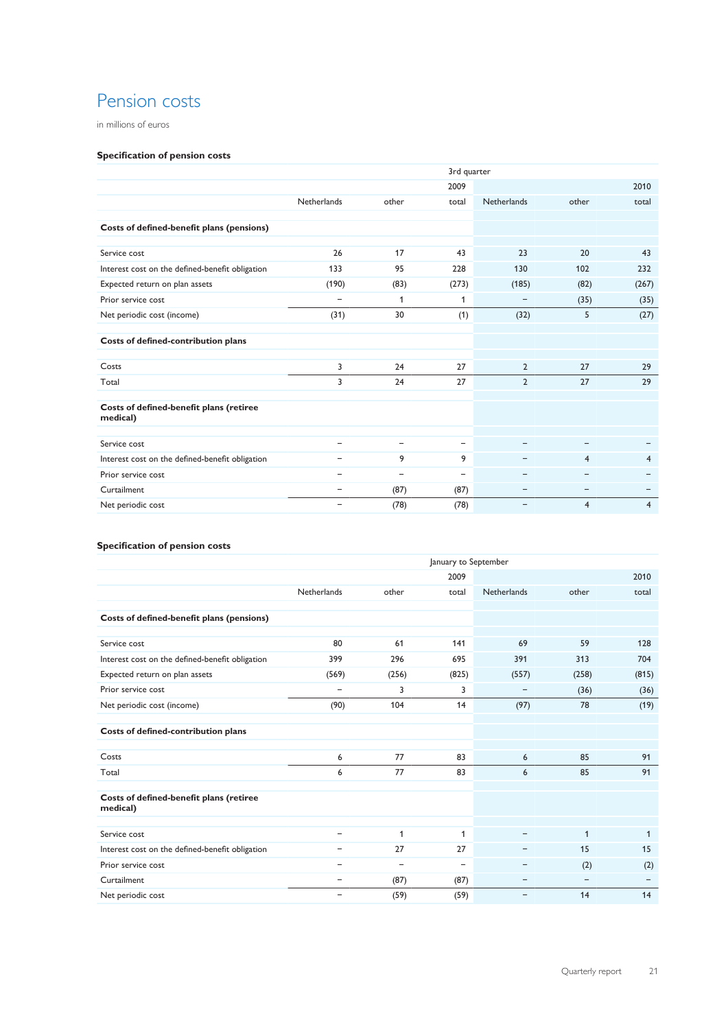### Pension costs

in millions of euros

### **Specification of pension costs**

|                                                     | 3rd quarter              |                          |                          |                          |                          |                |  |  |
|-----------------------------------------------------|--------------------------|--------------------------|--------------------------|--------------------------|--------------------------|----------------|--|--|
|                                                     |                          |                          | 2009                     |                          |                          | 2010           |  |  |
|                                                     | Netherlands              | other                    | total                    | <b>Netherlands</b>       | other                    | total          |  |  |
|                                                     |                          |                          |                          |                          |                          |                |  |  |
| Costs of defined-benefit plans (pensions)           |                          |                          |                          |                          |                          |                |  |  |
| Service cost                                        | 26                       | 17                       | 43                       | 23                       | 20                       | 43             |  |  |
| Interest cost on the defined-benefit obligation     | 133                      | 95                       | 228                      | 130                      | 102                      | 232            |  |  |
| Expected return on plan assets                      | (190)                    | (83)                     | (273)                    | (185)                    | (82)                     | (267)          |  |  |
| Prior service cost                                  | $\overline{\phantom{a}}$ | 1                        | 1                        | $\qquad \qquad -$        | (35)                     | (35)           |  |  |
| Net periodic cost (income)                          | (31)                     | 30                       | (1)                      | (32)                     | 5                        | (27)           |  |  |
| Costs of defined-contribution plans                 |                          |                          |                          |                          |                          |                |  |  |
| Costs                                               | 3                        | 24                       | 27                       | $\overline{2}$           | 27                       | 29             |  |  |
| Total                                               | 3                        | 24                       | 27                       | $\overline{2}$           | 27                       | 29             |  |  |
| Costs of defined-benefit plans (retiree<br>medical) |                          |                          |                          |                          |                          |                |  |  |
| Service cost                                        | $\overline{\phantom{0}}$ | $\overline{\phantom{0}}$ | $\overline{\phantom{m}}$ |                          | $\overline{\phantom{0}}$ |                |  |  |
| Interest cost on the defined-benefit obligation     |                          | 9                        | 9                        |                          | $\overline{4}$           | $\overline{4}$ |  |  |
| Prior service cost                                  | $\qquad \qquad -$        | $\qquad \qquad -$        | $\overline{\phantom{m}}$ | $\qquad \qquad -$        | $\qquad \qquad -$        |                |  |  |
| Curtailment                                         | $\qquad \qquad -$        | (87)                     | (87)                     | -                        | $\overline{\phantom{0}}$ | -              |  |  |
| Net periodic cost                                   | $\qquad \qquad -$        | (78)                     | (78)                     | $\overline{\phantom{0}}$ | $\overline{4}$           | $\overline{4}$ |  |  |

### **Specification of pension costs**

|                                                     | January to September     |                          |       |                          |                          |       |  |  |  |
|-----------------------------------------------------|--------------------------|--------------------------|-------|--------------------------|--------------------------|-------|--|--|--|
|                                                     |                          |                          | 2009  |                          |                          | 2010  |  |  |  |
|                                                     | Netherlands              | other                    | total | Netherlands              | other                    | total |  |  |  |
|                                                     |                          |                          |       |                          |                          |       |  |  |  |
| Costs of defined-benefit plans (pensions)           |                          |                          |       |                          |                          |       |  |  |  |
| Service cost                                        | 80                       | 61                       | 141   | 69                       | 59                       | 128   |  |  |  |
| Interest cost on the defined-benefit obligation     | 399                      | 296                      | 695   | 391                      | 313                      | 704   |  |  |  |
| Expected return on plan assets                      | (569)                    | (256)                    | (825) | (557)                    | (258)                    | (815) |  |  |  |
| Prior service cost                                  | $\qquad \qquad -$        | 3                        | 3     | $\qquad \qquad -$        | (36)                     | (36)  |  |  |  |
| Net periodic cost (income)                          | (90)                     | 104                      | 14    | (97)                     | 78                       | (19)  |  |  |  |
| Costs of defined-contribution plans                 |                          |                          |       |                          |                          |       |  |  |  |
| Costs                                               | 6                        | 77                       | 83    | 6                        | 85                       | 91    |  |  |  |
| Total                                               | 6                        | 77                       | 83    | 6                        | 85                       | 91    |  |  |  |
| Costs of defined-benefit plans (retiree<br>medical) |                          |                          |       |                          |                          |       |  |  |  |
| Service cost                                        | -                        | 1                        | 1     |                          | $\mathbf{1}$             | 1     |  |  |  |
| Interest cost on the defined-benefit obligation     | $\overline{\phantom{0}}$ | 27                       | 27    | -                        | 15                       | 15    |  |  |  |
| Prior service cost                                  | -                        | $\overline{\phantom{0}}$ | -     | -                        | (2)                      | (2)   |  |  |  |
| Curtailment                                         | $\qquad \qquad -$        | (87)                     | (87)  | $\overline{\phantom{0}}$ | $\overline{\phantom{a}}$ |       |  |  |  |
| Net periodic cost                                   | $\overline{\phantom{m}}$ | (59)                     | (59)  | $\qquad \qquad -$        | 14                       | 14    |  |  |  |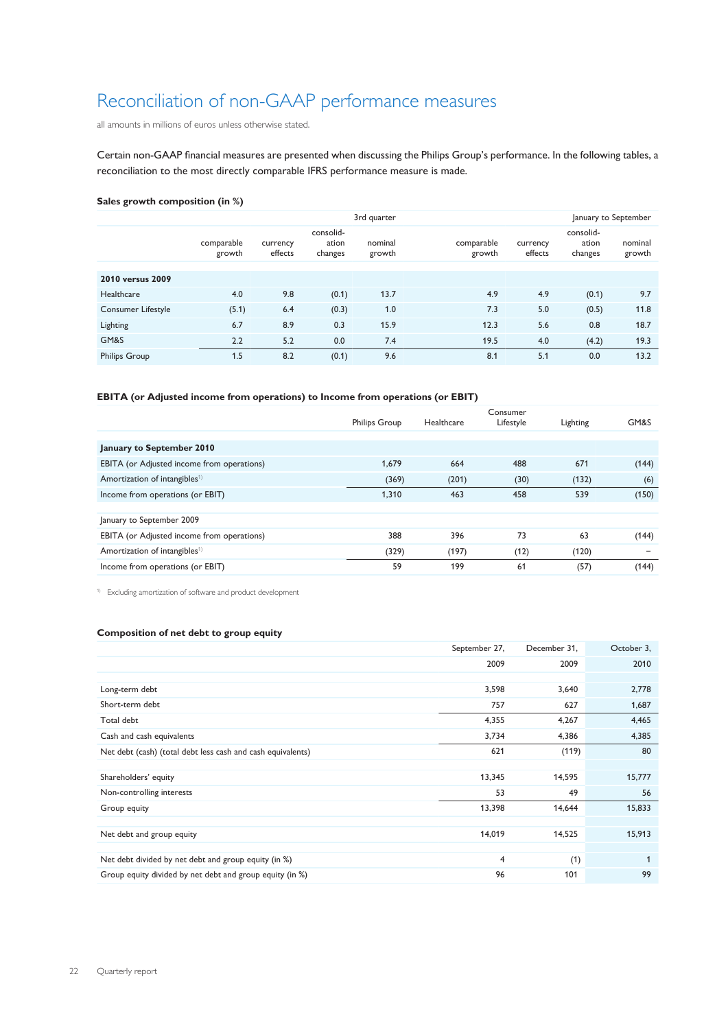### Reconciliation of non-GAAP performance measures

all amounts in millions of euros unless otherwise stated.

Certain non-GAAP financial measures are presented when discussing the Philips Group's performance. In the following tables, a reconciliation to the most directly comparable IFRS performance measure is made.

### **Sales growth composition (in %)**

|                           |                      |                     |                               | 3rd quarter       | January to September |                     |                               |                   |
|---------------------------|----------------------|---------------------|-------------------------------|-------------------|----------------------|---------------------|-------------------------------|-------------------|
|                           | comparable<br>growth | currency<br>effects | consolid-<br>ation<br>changes | nominal<br>growth | comparable<br>growth | currency<br>effects | consolid-<br>ation<br>changes | nominal<br>growth |
| 2010 versus 2009          |                      |                     |                               |                   |                      |                     |                               |                   |
| Healthcare                | 4.0                  | 9.8                 | (0.1)                         | 13.7              | 4.9                  | 4.9                 | (0.1)                         | 9.7               |
| <b>Consumer Lifestyle</b> | (5.1)                | 6.4                 | (0.3)                         | 1.0               | 7.3                  | 5.0                 | (0.5)                         | 11.8              |
| Lighting                  | 6.7                  | 8.9                 | 0.3                           | 15.9              | 12.3                 | 5.6                 | 0.8                           | 18.7              |
| GM&S                      | 2.2                  | 5.2                 | 0.0                           | 7.4               | 19.5                 | 4.0                 | (4.2)                         | 19.3              |
| <b>Philips Group</b>      | 1.5                  | 8.2                 | (0.1)                         | 9.6               | 8.1                  | 5.1                 | 0.0                           | 13.2              |

### **EBITA (or Adjusted income from operations) to Income from operations (or EBIT)**

|                                            | <b>Philips Group</b> | Healthcare | Consumer<br>Lifestyle | Lighting | GM&S  |
|--------------------------------------------|----------------------|------------|-----------------------|----------|-------|
|                                            |                      |            |                       |          |       |
| January to September 2010                  |                      |            |                       |          |       |
| EBITA (or Adjusted income from operations) | 1,679                | 664        | 488                   | 671      | (144) |
| Amortization of intangibles <sup>1)</sup>  | (369)                | (201)      | (30)                  | (132)    | (6)   |
| Income from operations (or EBIT)           | 1,310                | 463        | 458                   | 539      | (150) |
|                                            |                      |            |                       |          |       |
| January to September 2009                  |                      |            |                       |          |       |
| EBITA (or Adjusted income from operations) | 388                  | 396        | 73                    | 63       | (144) |
| Amortization of intangibles <sup>1)</sup>  | (329)                | (197)      | (12)                  | (120)    | -     |
| Income from operations (or EBIT)           | 59                   | 199        | 61                    | (57)     | (144) |

1) Excluding amortization of software and product development

### **Composition of net debt to group equity**

|                                                             | September 27, | December 31, | October 3,   |
|-------------------------------------------------------------|---------------|--------------|--------------|
|                                                             | 2009          | 2009         | 2010         |
|                                                             |               |              |              |
| Long-term debt                                              | 3,598         | 3,640        | 2,778        |
| Short-term debt                                             | 757           | 627          | 1,687        |
| Total debt                                                  | 4,355         | 4,267        | 4,465        |
| Cash and cash equivalents                                   | 3,734         | 4,386        | 4,385        |
| Net debt (cash) (total debt less cash and cash equivalents) | 621           | (119)        | 80           |
|                                                             |               |              |              |
| Shareholders' equity                                        | 13,345        | 14,595       | 15,777       |
| Non-controlling interests                                   | 53            | 49           | 56           |
| Group equity                                                | 13,398        | 14,644       | 15,833       |
|                                                             |               |              |              |
| Net debt and group equity                                   | 14,019        | 14,525       | 15,913       |
|                                                             |               |              |              |
| Net debt divided by net debt and group equity (in %)        | 4             | (1)          | $\mathbf{1}$ |
| Group equity divided by net debt and group equity (in %)    | 96            | 101          | 99           |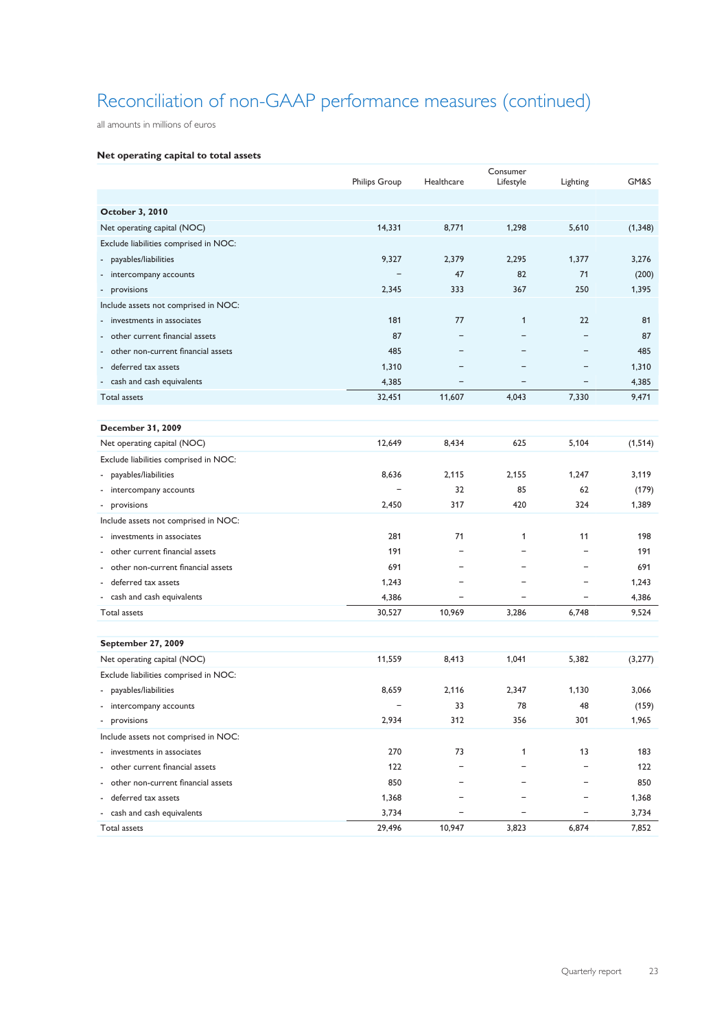## Reconciliation of non-GAAP performance measures (continued)

all amounts in millions of euros

### **Net operating capital to total assets**

|                                                            | <b>Philips Group</b> | Healthcare | Consumer<br>Lifestyle | Lighting                 | GM&S     |
|------------------------------------------------------------|----------------------|------------|-----------------------|--------------------------|----------|
|                                                            |                      |            |                       |                          |          |
| October 3, 2010                                            |                      |            |                       |                          |          |
| Net operating capital (NOC)                                | 14,331               | 8,771      | 1,298                 | 5,610                    | (1, 348) |
| Exclude liabilities comprised in NOC:                      |                      |            |                       |                          |          |
|                                                            |                      |            |                       |                          | 3,276    |
| payables/liabilities<br>$\qquad \qquad \blacksquare$       | 9,327                | 2,379      | 2,295                 | 1,377                    |          |
| intercompany accounts                                      |                      | 47         | 82                    | 71                       | (200)    |
| provisions<br>$\overline{\phantom{a}}$                     | 2,345                | 333        | 367                   | 250                      | 1,395    |
| Include assets not comprised in NOC:                       |                      |            |                       |                          |          |
| investments in associates                                  | 181                  | 77         | $\mathbf{1}$          | 22                       | 81       |
| other current financial assets<br>$\overline{\phantom{a}}$ | 87                   |            |                       | $=$                      | 87       |
| other non-current financial assets                         | 485                  |            |                       |                          | 485      |
| deferred tax assets                                        | 1,310                |            |                       | -                        | 1,310    |
| cash and cash equivalents                                  | 4,385                |            |                       | $\overline{\phantom{0}}$ | 4,385    |
| Total assets                                               | 32,451               | 11,607     | 4,043                 | 7,330                    | 9,471    |
|                                                            |                      |            |                       |                          |          |
| <b>December 31, 2009</b>                                   |                      |            |                       |                          |          |
| Net operating capital (NOC)                                | 12,649               | 8,434      | 625                   | 5,104                    | (1, 514) |
| Exclude liabilities comprised in NOC:                      |                      |            |                       |                          |          |
| payables/liabilities<br>٠                                  | 8,636                | 2.115      | 2,155                 | 1,247                    | 3,119    |
| - intercompany accounts                                    |                      | 32         | 85                    | 62                       | (179)    |
| - provisions                                               | 2,450                | 317        | 420                   | 324                      | 1,389    |
| Include assets not comprised in NOC:                       |                      |            |                       |                          |          |
| investments in associates                                  | 281                  | 71         | 1                     | 11                       | 198      |
| - other current financial assets                           | 191                  |            |                       | ۳                        | 191      |
| - other non-current financial assets                       | 691                  |            |                       | -                        | 691      |
| - deferred tax assets                                      | 1,243                |            |                       | $\overline{\phantom{0}}$ | 1,243    |
| - cash and cash equivalents                                | 4,386                | ۰          |                       | $\overline{\phantom{0}}$ | 4,386    |
| Total assets                                               | 30,527               | 10,969     | 3,286                 | 6,748                    | 9,524    |
|                                                            |                      |            |                       |                          |          |
| <b>September 27, 2009</b>                                  |                      |            |                       |                          |          |
| Net operating capital (NOC)                                | 11,559               | 8,413      | 1,041                 | 5,382                    | (3,277)  |
| Exclude liabilities comprised in NOC:                      |                      |            |                       |                          |          |
| payables/liabilities                                       | 8,659                | 2,116      | 2,347                 | 1,130                    | 3,066    |
| - intercompany accounts                                    |                      | 33         | 78                    | 48                       | (159)    |
| - provisions                                               | 2,934                | 312        | 356                   | 301                      | 1,965    |
| Include assets not comprised in NOC:                       |                      |            |                       |                          |          |
| - investments in associates                                | 270                  | 73         | 1                     | 13                       | 183      |
| - other current financial assets                           | 122                  |            |                       | -                        | 122      |
| - other non-current financial assets                       | 850                  |            |                       | -                        | 850      |
| - deferred tax assets                                      | 1,368                |            |                       |                          | 1,368    |
| - cash and cash equivalents                                | 3,734                |            |                       |                          | 3,734    |
| Total assets                                               | 29,496               | 10,947     | 3,823                 | 6,874                    | 7,852    |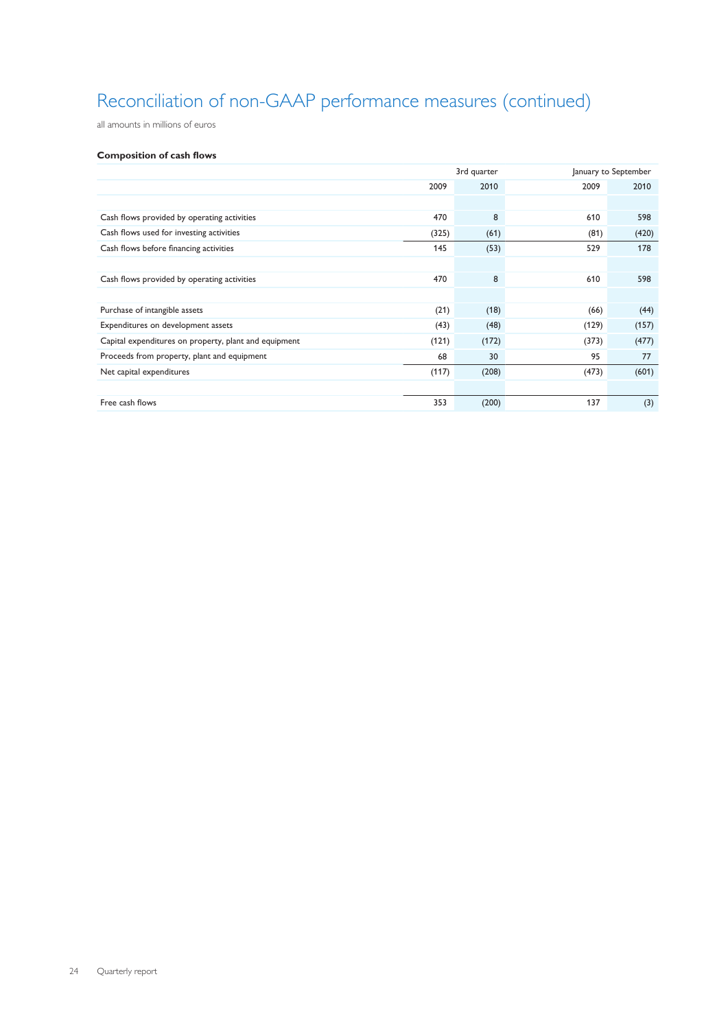## Reconciliation of non-GAAP performance measures (continued)

all amounts in millions of euros

### **Composition of cash flows**

|                                                       |       | 3rd quarter |       | January to September |
|-------------------------------------------------------|-------|-------------|-------|----------------------|
|                                                       | 2009  | 2010        | 2009  | 2010                 |
|                                                       |       |             |       |                      |
| Cash flows provided by operating activities           | 470   | 8           | 610   | 598                  |
| Cash flows used for investing activities              | (325) | (61)        | (81)  | (420)                |
| Cash flows before financing activities                | 145   | (53)        | 529   | 178                  |
|                                                       |       |             |       |                      |
| Cash flows provided by operating activities           | 470   | 8           | 610   | 598                  |
|                                                       |       |             |       |                      |
| Purchase of intangible assets                         | (21)  | (18)        | (66)  | (44)                 |
| Expenditures on development assets                    | (43)  | (48)        | (129) | (157)                |
| Capital expenditures on property, plant and equipment | (121) | (172)       | (373) | (477)                |
| Proceeds from property, plant and equipment           | 68    | 30          | 95    | 77                   |
| Net capital expenditures                              | (117) | (208)       | (473) | (601)                |
|                                                       |       |             |       |                      |
| Free cash flows                                       | 353   | (200)       | 137   | (3)                  |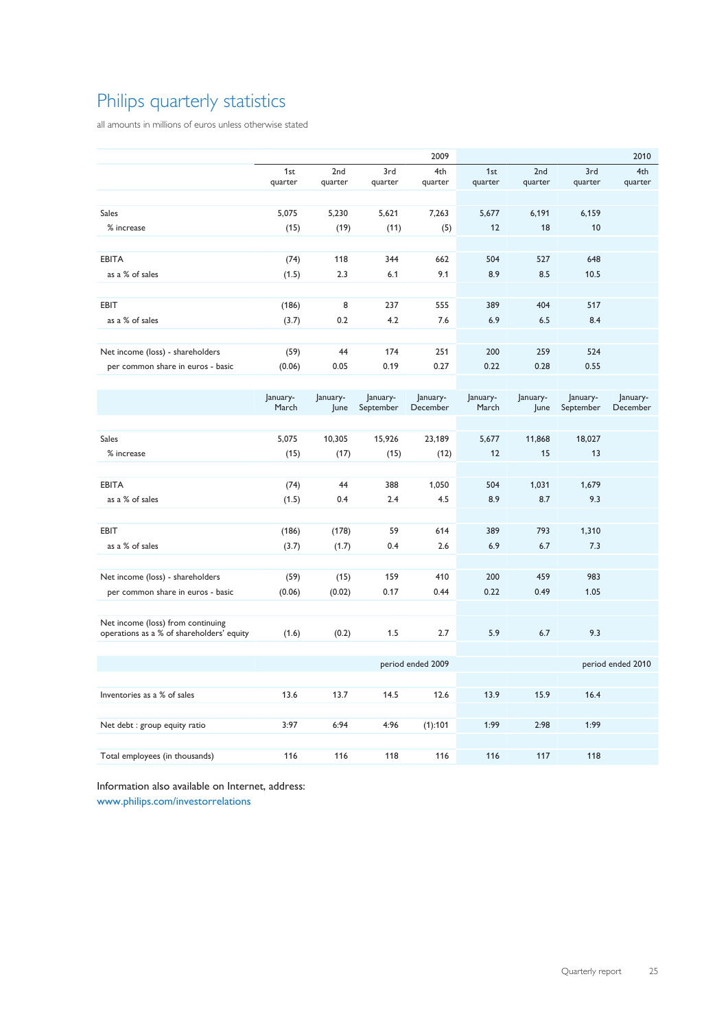## Philips quarterly statistics

all amounts in millions of euros unless otherwise stated

|                                                                                |                   |                  |                       | 2009                 |                   |                  |                       | 2010                 |
|--------------------------------------------------------------------------------|-------------------|------------------|-----------------------|----------------------|-------------------|------------------|-----------------------|----------------------|
|                                                                                | 1st<br>quarter    | 2nd<br>quarter   | 3rd<br>quarter        | 4th<br>quarter       | 1st<br>quarter    | 2nd<br>quarter   | 3rd<br>quarter        | 4th<br>quarter       |
|                                                                                |                   |                  |                       |                      |                   |                  |                       |                      |
| Sales                                                                          | 5,075             | 5,230            | 5,621                 | 7,263                | 5,677             | 6,191            | 6,159                 |                      |
| % increase                                                                     | (15)              | (19)             | (11)                  | (5)                  | 12                | 18               | 10                    |                      |
|                                                                                |                   |                  |                       |                      |                   |                  |                       |                      |
| <b>EBITA</b>                                                                   | (74)              | 118              | 344                   | 662                  | 504               | 527              | 648                   |                      |
| as a % of sales                                                                | (1.5)             | 2.3              | 6.1                   | 9.1                  | 8.9               | 8.5              | 10.5                  |                      |
|                                                                                |                   |                  |                       |                      |                   |                  |                       |                      |
| <b>EBIT</b>                                                                    | (186)             | 8                | 237                   | 555                  | 389               | 404              | 517                   |                      |
| as a % of sales                                                                | (3.7)             | 0.2              | 4.2                   | 7.6                  | 6.9               | 6.5              | 8.4                   |                      |
|                                                                                |                   |                  |                       |                      |                   |                  |                       |                      |
| Net income (loss) - shareholders                                               | (59)              | 44               | 174                   | 251                  | 200               | 259              | 524                   |                      |
| per common share in euros - basic                                              | (0.06)            | 0.05             | 0.19                  | 0.27                 | 0.22              | 0.28             | 0.55                  |                      |
|                                                                                |                   |                  |                       |                      |                   |                  |                       |                      |
|                                                                                | January-<br>March | January-<br>June | January-<br>September | January-<br>December | January-<br>March | January-<br>June | January-<br>September | January-<br>December |
|                                                                                |                   |                  |                       |                      |                   |                  |                       |                      |
| <b>Sales</b>                                                                   | 5,075             | 10,305           | 15,926                | 23,189               | 5,677             | 11,868           | 18,027                |                      |
| % increase                                                                     | (15)              | (17)             | (15)                  | (12)                 | 12                | 15               | 13                    |                      |
|                                                                                |                   |                  |                       |                      |                   |                  |                       |                      |
| <b>EBITA</b>                                                                   | (74)              | 44               | 388                   | 1,050                | 504               | 1,031            | 1,679                 |                      |
| as a % of sales                                                                | (1.5)             | 0.4              | 2.4                   | 4.5                  | 8.9               | 8.7              | 9.3                   |                      |
|                                                                                |                   |                  |                       |                      |                   |                  |                       |                      |
| <b>EBIT</b>                                                                    | (186)             | (178)            | 59                    | 614                  | 389               | 793              | 1,310                 |                      |
| as a % of sales                                                                | (3.7)             | (1.7)            | 0.4                   | 2.6                  | 6.9               | 6.7              | 7.3                   |                      |
|                                                                                |                   |                  |                       |                      |                   |                  |                       |                      |
| Net income (loss) - shareholders                                               | (59)              | (15)             | 159                   | 410                  | 200               | 459              | 983                   |                      |
| per common share in euros - basic                                              | (0.06)            | (0.02)           | 0.17                  | 0.44                 | 0.22              | 0.49             | 1.05                  |                      |
|                                                                                |                   |                  |                       |                      |                   |                  |                       |                      |
| Net income (loss) from continuing<br>operations as a % of shareholders' equity | (1.6)             | (0.2)            | 1.5                   | 2.7                  | 5.9               | 6.7              | 9.3                   |                      |
|                                                                                |                   |                  |                       |                      |                   |                  |                       |                      |
|                                                                                |                   |                  |                       | period ended 2009    |                   |                  |                       | period ended 2010    |
|                                                                                |                   |                  |                       |                      |                   |                  |                       |                      |
| Inventories as a % of sales                                                    | 13.6              | 13.7             | 14.5                  | 12.6                 | 13.9              | 15.9             | 16.4                  |                      |
|                                                                                |                   |                  |                       |                      |                   |                  |                       |                      |
| Net debt : group equity ratio                                                  | 3:97              | 6:94             | 4:96                  | (1):101              | 1:99              | 2:98             | 1:99                  |                      |
|                                                                                |                   |                  |                       |                      |                   |                  |                       |                      |
| Total employees (in thousands)                                                 | 116               | 116              | 118                   | 116                  | 116               | 117              | 118                   |                      |

Information also available on Internet, address: [www.philips.com/investorrelations](http://www.philips.com/investor)